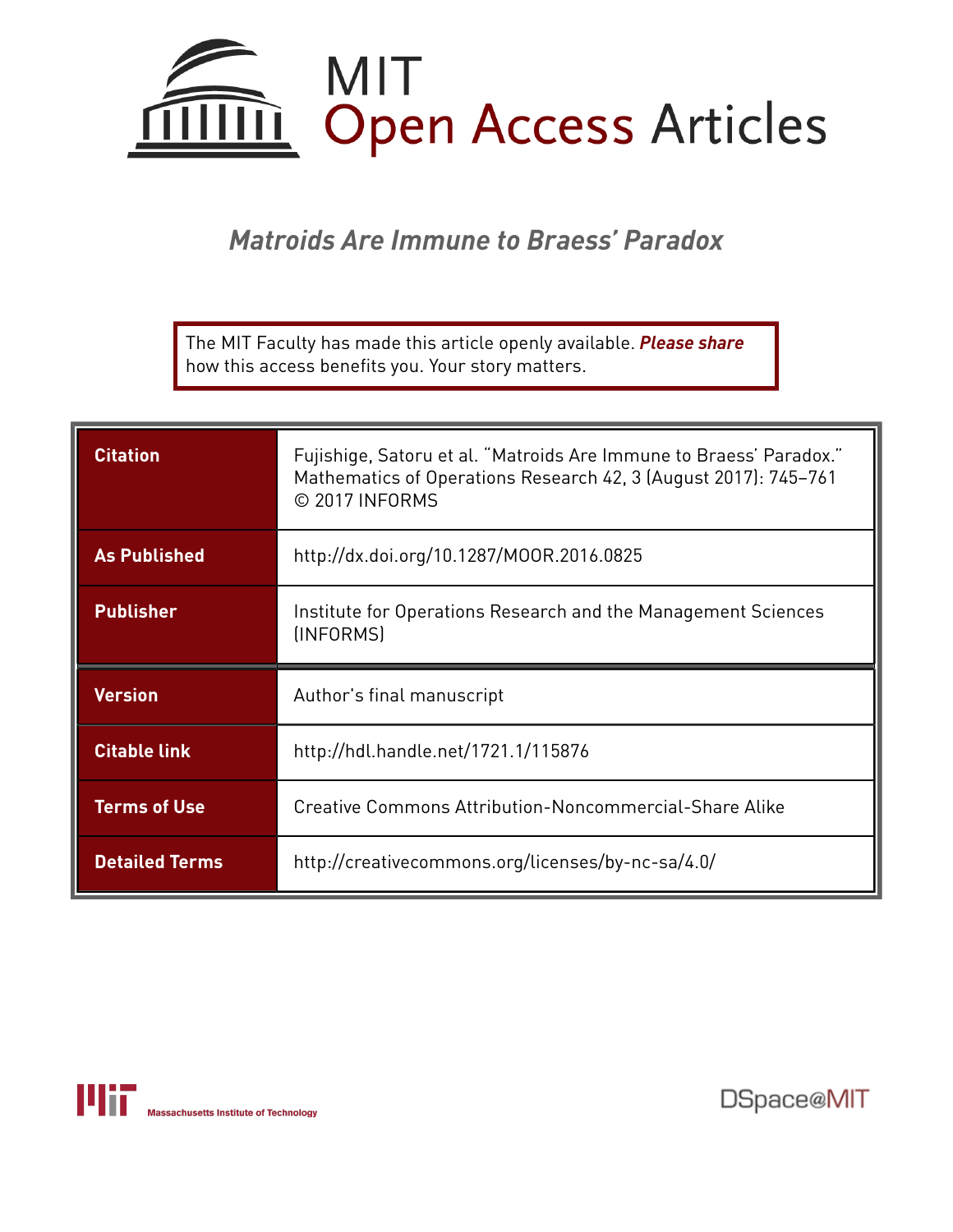

*Matroids Are Immune to Braess' Paradox*

The MIT Faculty has made this article openly available. *[Please](https://libraries.mit.edu/forms/dspace-oa-articles.html) share* how this access benefits you. Your story matters.

| <b>Citation</b>     | Fujishige, Satoru et al. "Matroids Are Immune to Braess' Paradox."<br>Mathematics of Operations Research 42, 3 (August 2017): 745-761<br>© 2017 INFORMS |
|---------------------|---------------------------------------------------------------------------------------------------------------------------------------------------------|
| <b>As Published</b> | http://dx.doi.org/10.1287/MOOR.2016.0825                                                                                                                |
| <b>Publisher</b>    | Institute for Operations Research and the Management Sciences<br>(INFORMS)                                                                              |
|                     |                                                                                                                                                         |
| <b>Version</b>      | Author's final manuscript                                                                                                                               |
| <b>Citable link</b> | http://hdl.handle.net/1721.1/115876                                                                                                                     |
| <b>Terms of Use</b> | Creative Commons Attribution-Noncommercial-Share Alike                                                                                                  |



DSpace@MIT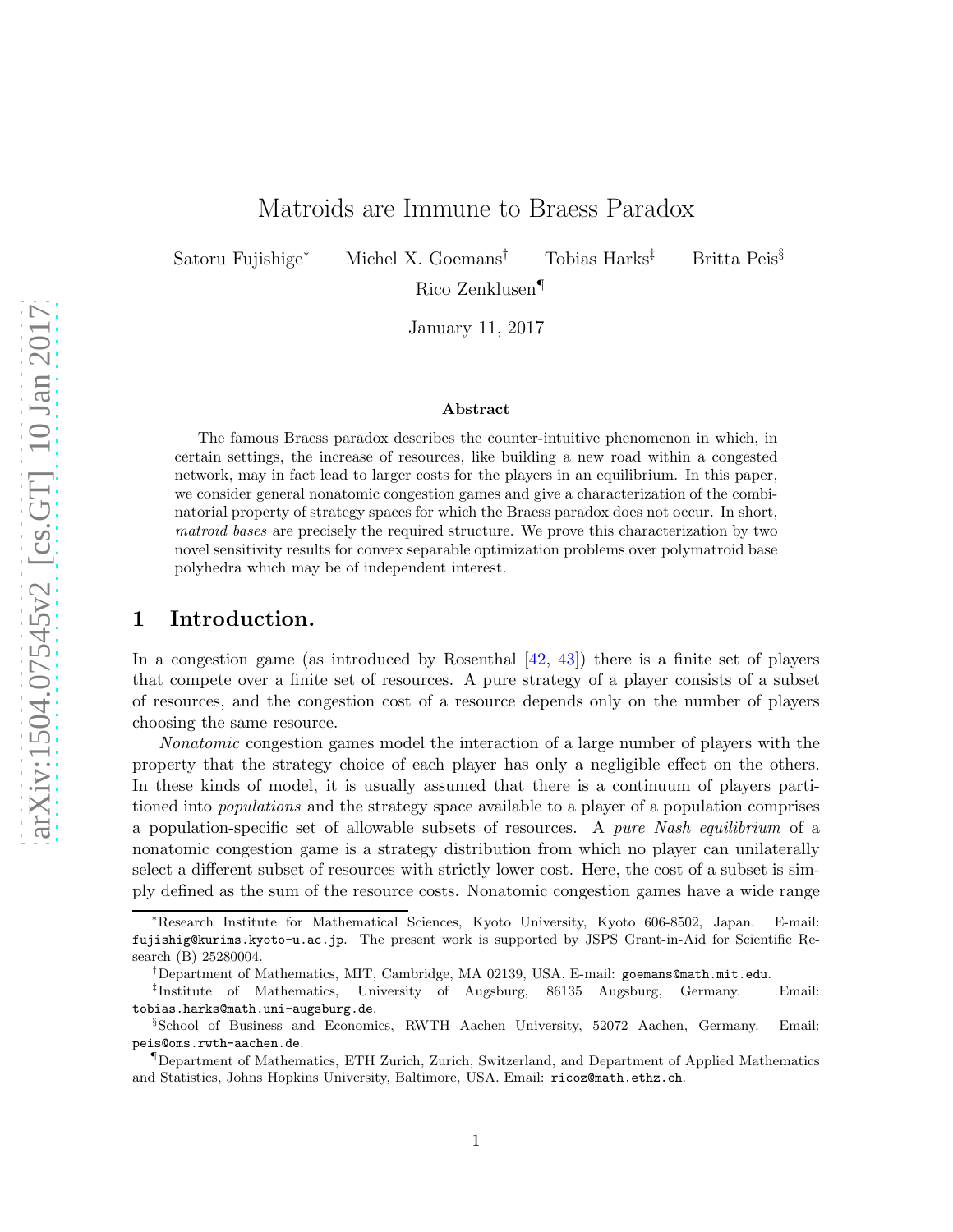# Matroids are Immune to Braess Paradox

Satoru Fujishige<sup>∗</sup> Michel X. Goemans† Tobias Harks‡ Britta Peis§

Rico Zenklusen¶

January 11, 2017

#### Abstract

The famous Braess paradox describes the counter-intuitive phenomenon in which, in certain settings, the increase of resources, like building a new road within a congested network, may in fact lead to larger costs for the players in an equilibrium. In this paper, we consider general nonatomic congestion games and give a characterization of the combinatorial property of strategy spaces for which the Braess paradox does not occur. In short, matroid bases are precisely the required structure. We prove this characterization by two novel sensitivity results for convex separable optimization problems over polymatroid base polyhedra which may be of independent interest.

# 1 Introduction.

In a congestion game (as introduced by Rosenthal  $[42, 43]$  $[42, 43]$ ) there is a finite set of players that compete over a finite set of resources. A pure strategy of a player consists of a subset of resources, and the congestion cost of a resource depends only on the number of players choosing the same resource.

Nonatomic congestion games model the interaction of a large number of players with the property that the strategy choice of each player has only a negligible effect on the others. In these kinds of model, it is usually assumed that there is a continuum of players partitioned into populations and the strategy space available to a player of a population comprises a population-specific set of allowable subsets of resources. A pure Nash equilibrium of a nonatomic congestion game is a strategy distribution from which no player can unilaterally select a different subset of resources with strictly lower cost. Here, the cost of a subset is simply defined as the sum of the resource costs. Nonatomic congestion games have a wide range

<sup>∗</sup>Research Institute for Mathematical Sciences, Kyoto University, Kyoto 606-8502, Japan. E-mail: fujishig@kurims.kyoto-u.ac.jp. The present work is supported by JSPS Grant-in-Aid for Scientific Research (B) 25280004.

<sup>†</sup>Department of Mathematics, MIT, Cambridge, MA 02139, USA. E-mail: goemans@math.mit.edu.

<sup>&</sup>lt;sup>‡</sup>Institute of Mathematics, University of Augsburg, 86135 Augsburg, Germany. Email: tobias.harks@math.uni-augsburg.de.

<sup>§</sup> School of Business and Economics, RWTH Aachen University, 52072 Aachen, Germany. Email: peis@oms.rwth-aachen.de.

<sup>¶</sup>Department of Mathematics, ETH Zurich, Zurich, Switzerland, and Department of Applied Mathematics and Statistics, Johns Hopkins University, Baltimore, USA. Email: ricoz@math.ethz.ch.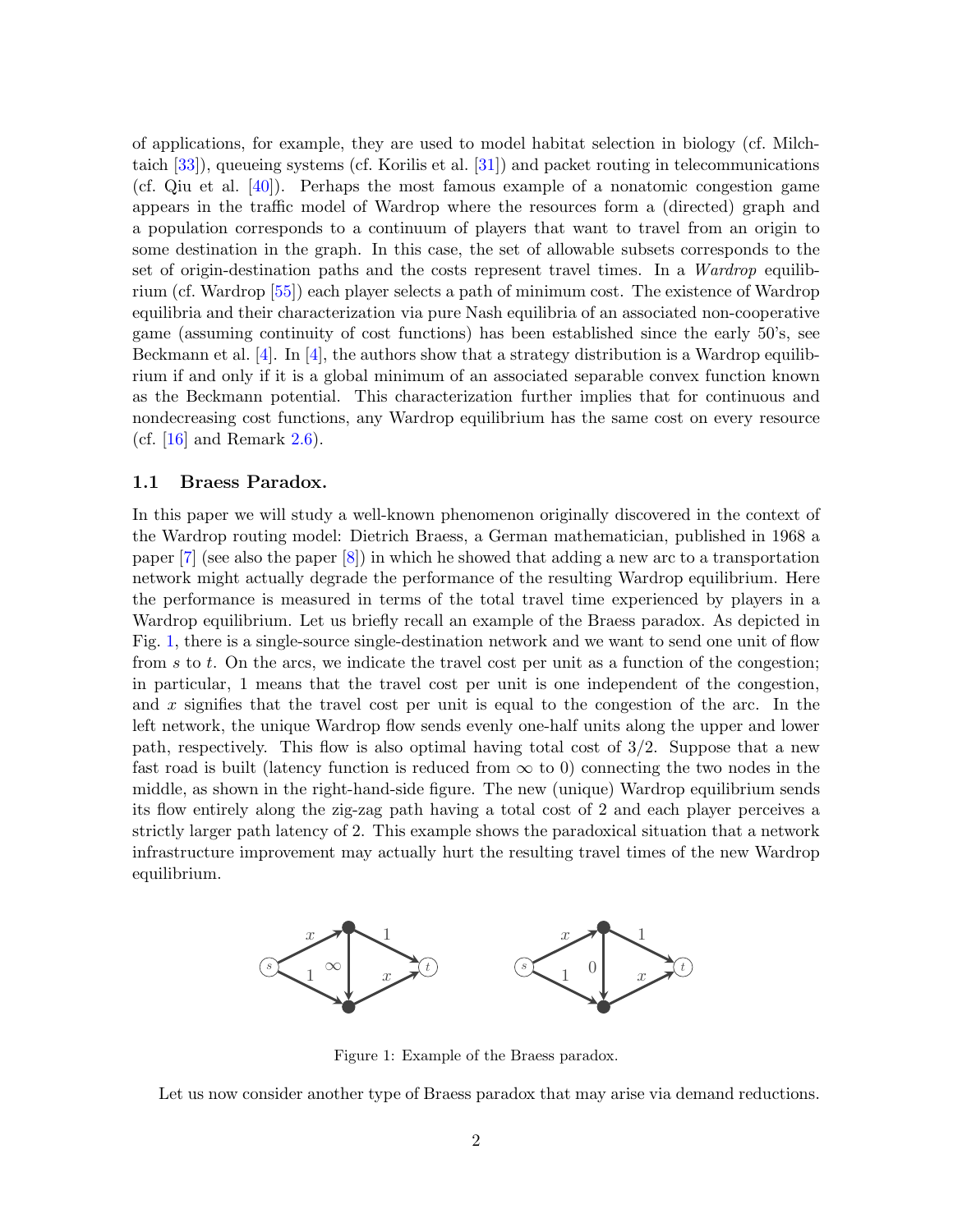of applications, for example, they are used to model habitat selection in biology (cf. Milchtaich [\[33\]](#page-24-0)), queueing systems (cf. Korilis et al. [\[31\]](#page-24-1)) and packet routing in telecommunications (cf. Qiu et al. [\[40\]](#page-25-2)). Perhaps the most famous example of a nonatomic congestion game appears in the traffic model of Wardrop where the resources form a (directed) graph and a population corresponds to a continuum of players that want to travel from an origin to some destination in the graph. In this case, the set of allowable subsets corresponds to the set of origin-destination paths and the costs represent travel times. In a Wardrop equilibrium (cf. Wardrop [\[55\]](#page-25-3)) each player selects a path of minimum cost. The existence of Wardrop equilibria and their characterization via pure Nash equilibria of an associated non-cooperative game (assuming continuity of cost functions) has been established since the early 50's, see Beckmann et al.  $[4]$ . In  $[4]$ , the authors show that a strategy distribution is a Wardrop equilibrium if and only if it is a global minimum of an associated separable convex function known as the Beckmann potential. This characterization further implies that for continuous and nondecreasing cost functions, any Wardrop equilibrium has the same cost on every resource (cf.  $[16]$  and Remark [2.6\)](#page-9-0).

### 1.1 Braess Paradox.

In this paper we will study a well-known phenomenon originally discovered in the context of the Wardrop routing model: Dietrich Braess, a German mathematician, published in 1968 a paper  $[7]$  (see also the paper  $[8]$ ) in which he showed that adding a new arc to a transportation network might actually degrade the performance of the resulting Wardrop equilibrium. Here the performance is measured in terms of the total travel time experienced by players in a Wardrop equilibrium. Let us briefly recall an example of the Braess paradox. As depicted in Fig. [1,](#page-2-0) there is a single-source single-destination network and we want to send one unit of flow from s to t. On the arcs, we indicate the travel cost per unit as a function of the congestion; in particular, 1 means that the travel cost per unit is one independent of the congestion, and x signifies that the travel cost per unit is equal to the congestion of the arc. In the left network, the unique Wardrop flow sends evenly one-half units along the upper and lower path, respectively. This flow is also optimal having total cost of 3/2. Suppose that a new fast road is built (latency function is reduced from  $\infty$  to 0) connecting the two nodes in the middle, as shown in the right-hand-side figure. The new (unique) Wardrop equilibrium sends its flow entirely along the zig-zag path having a total cost of 2 and each player perceives a strictly larger path latency of 2. This example shows the paradoxical situation that a network infrastructure improvement may actually hurt the resulting travel times of the new Wardrop equilibrium.

<span id="page-2-0"></span>

Figure 1: Example of the Braess paradox.

Let us now consider another type of Braess paradox that may arise via demand reductions.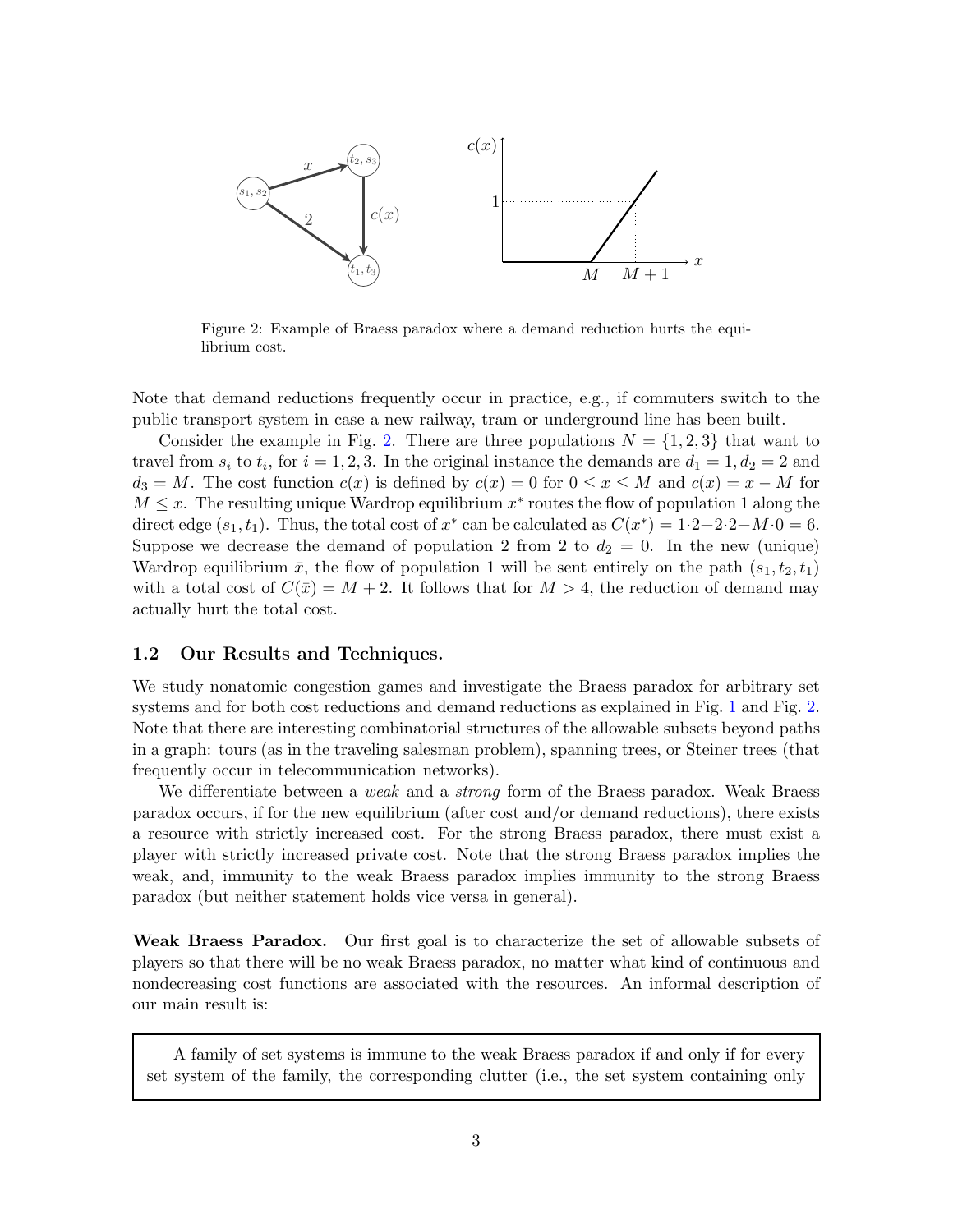<span id="page-3-0"></span>

Figure 2: Example of Braess paradox where a demand reduction hurts the equilibrium cost.

Note that demand reductions frequently occur in practice, e.g., if commuters switch to the public transport system in case a new railway, tram or underground line has been built.

Consider the example in Fig. [2.](#page-3-0) There are three populations  $N = \{1, 2, 3\}$  that want to travel from  $s_i$  to  $t_i$ , for  $i = 1, 2, 3$ . In the original instance the demands are  $d_1 = 1, d_2 = 2$  and  $d_3 = M$ . The cost function  $c(x)$  is defined by  $c(x) = 0$  for  $0 \le x \le M$  and  $c(x) = x - M$  for  $M \leq x$ . The resulting unique Wardrop equilibrium  $x^*$  routes the flow of population 1 along the direct edge  $(s_1, t_1)$ . Thus, the total cost of  $x^*$  can be calculated as  $C(x^*) = 1 \cdot 2 + 2 \cdot 2 + M \cdot 0 = 6$ . Suppose we decrease the demand of population 2 from 2 to  $d_2 = 0$ . In the new (unique) Wardrop equilibrium  $\bar{x}$ , the flow of population 1 will be sent entirely on the path  $(s_1, t_2, t_1)$ with a total cost of  $C(\bar{x}) = M + 2$ . It follows that for  $M > 4$ , the reduction of demand may actually hurt the total cost.

### 1.2 Our Results and Techniques.

We study nonatomic congestion games and investigate the Braess paradox for arbitrary set systems and for both cost reductions and demand reductions as explained in Fig. [1](#page-2-0) and Fig. [2.](#page-3-0) Note that there are interesting combinatorial structures of the allowable subsets beyond paths in a graph: tours (as in the traveling salesman problem), spanning trees, or Steiner trees (that frequently occur in telecommunication networks).

We differentiate between a *weak* and a *strong* form of the Braess paradox. Weak Braess paradox occurs, if for the new equilibrium (after cost and/or demand reductions), there exists a resource with strictly increased cost. For the strong Braess paradox, there must exist a player with strictly increased private cost. Note that the strong Braess paradox implies the weak, and, immunity to the weak Braess paradox implies immunity to the strong Braess paradox (but neither statement holds vice versa in general).

Weak Braess Paradox. Our first goal is to characterize the set of allowable subsets of players so that there will be no weak Braess paradox, no matter what kind of continuous and nondecreasing cost functions are associated with the resources. An informal description of our main result is:

A family of set systems is immune to the weak Braess paradox if and only if for every set system of the family, the corresponding clutter (i.e., the set system containing only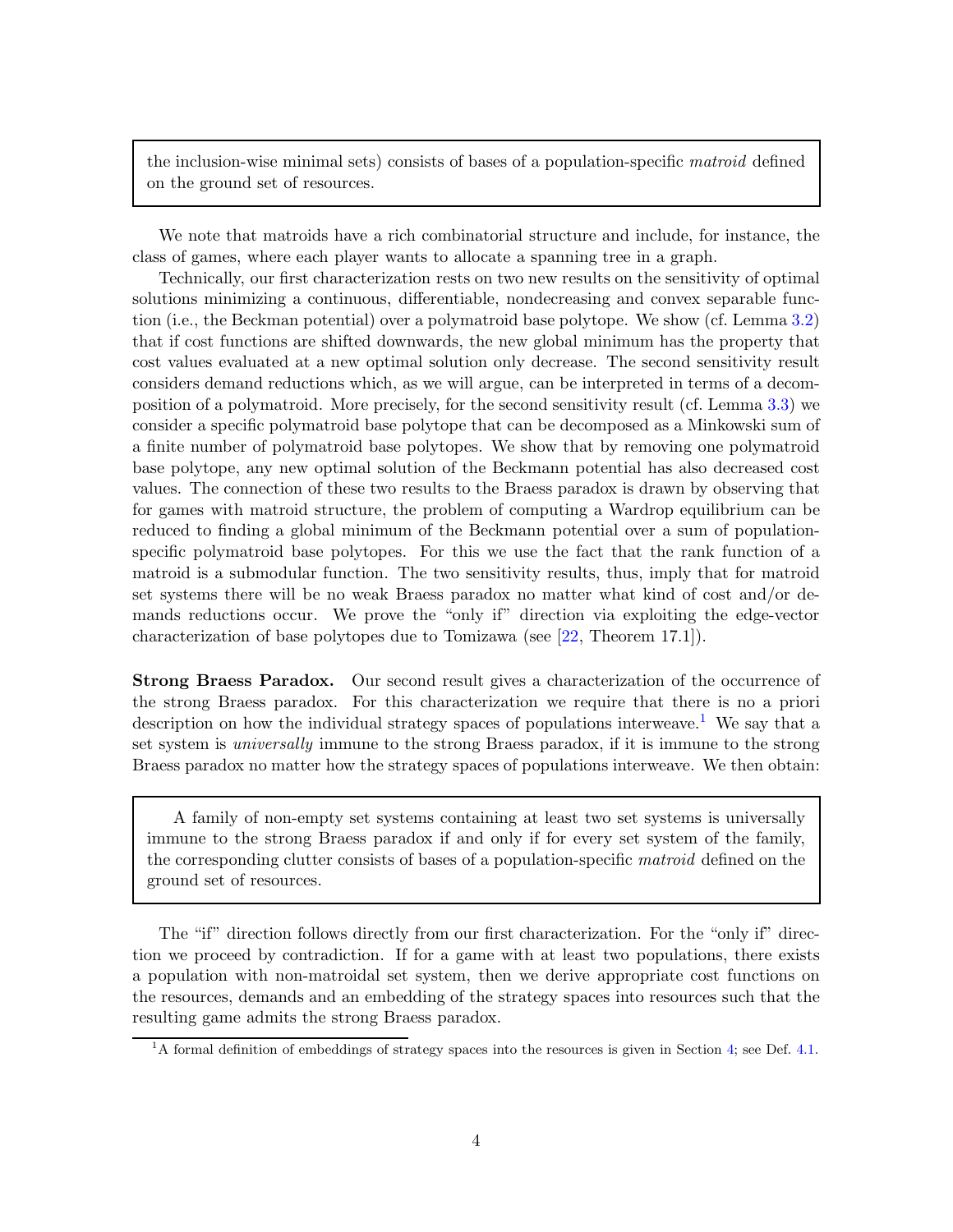the inclusion-wise minimal sets) consists of bases of a population-specific matroid defined on the ground set of resources.

We note that matroids have a rich combinatorial structure and include, for instance, the class of games, where each player wants to allocate a spanning tree in a graph.

Technically, our first characterization rests on two new results on the sensitivity of optimal solutions minimizing a continuous, differentiable, nondecreasing and convex separable function (i.e., the Beckman potential) over a polymatroid base polytope. We show (cf. Lemma [3.2\)](#page-12-0) that if cost functions are shifted downwards, the new global minimum has the property that cost values evaluated at a new optimal solution only decrease. The second sensitivity result considers demand reductions which, as we will argue, can be interpreted in terms of a decomposition of a polymatroid. More precisely, for the second sensitivity result (cf. Lemma [3.3\)](#page-12-1) we consider a specific polymatroid base polytope that can be decomposed as a Minkowski sum of a finite number of polymatroid base polytopes. We show that by removing one polymatroid base polytope, any new optimal solution of the Beckmann potential has also decreased cost values. The connection of these two results to the Braess paradox is drawn by observing that for games with matroid structure, the problem of computing a Wardrop equilibrium can be reduced to finding a global minimum of the Beckmann potential over a sum of populationspecific polymatroid base polytopes. For this we use the fact that the rank function of a matroid is a submodular function. The two sensitivity results, thus, imply that for matroid set systems there will be no weak Braess paradox no matter what kind of cost and/or demands reductions occur. We prove the "only if" direction via exploiting the edge-vector characterization of base polytopes due to Tomizawa (see [\[22,](#page-24-2) Theorem 17.1]).

Strong Braess Paradox. Our second result gives a characterization of the occurrence of the strong Braess paradox. For this characterization we require that there is no a priori description on how the individual strategy spaces of populations interweave.<sup>[1](#page-4-0)</sup> We say that a set system is universally immune to the strong Braess paradox, if it is immune to the strong Braess paradox no matter how the strategy spaces of populations interweave. We then obtain:

A family of non-empty set systems containing at least two set systems is universally immune to the strong Braess paradox if and only if for every set system of the family, the corresponding clutter consists of bases of a population-specific matroid defined on the ground set of resources.

The "if" direction follows directly from our first characterization. For the "only if" direction we proceed by contradiction. If for a game with at least two populations, there exists a population with non-matroidal set system, then we derive appropriate cost functions on the resources, demands and an embedding of the strategy spaces into resources such that the resulting game admits the strong Braess paradox.

<span id="page-4-0"></span><sup>&</sup>lt;sup>1</sup>A formal definition of embeddings of strategy spaces into the resources is given in Section [4;](#page-19-0) see Def. [4.1.](#page-19-1)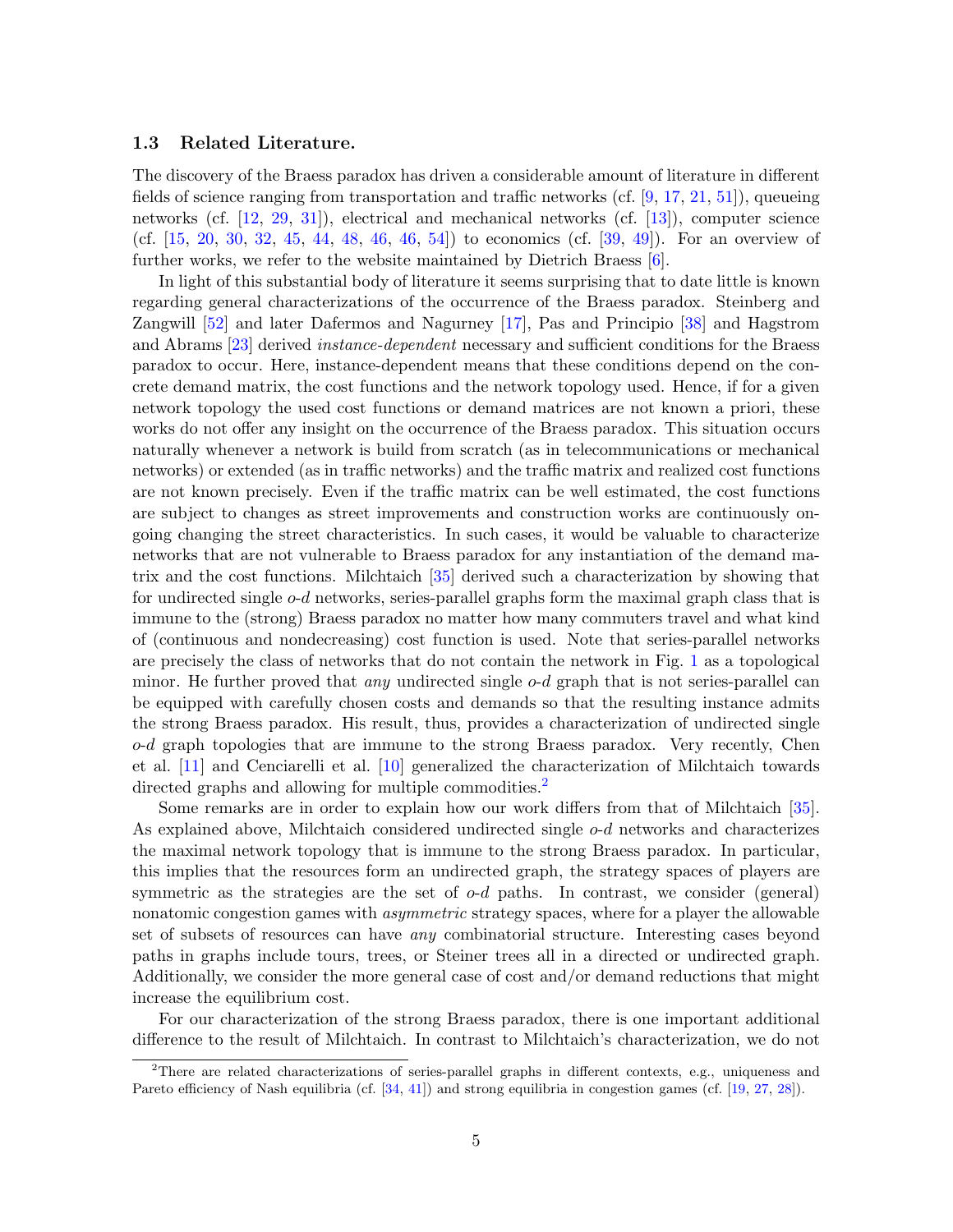### 1.3 Related Literature.

The discovery of the Braess paradox has driven a considerable amount of literature in different fields of science ranging from transportation and traffic networks (cf.  $[9, 17, 21, 51]$  $[9, 17, 21, 51]$  $[9, 17, 21, 51]$  $[9, 17, 21, 51]$  $[9, 17, 21, 51]$  $[9, 17, 21, 51]$ ), queueing networks (cf. [\[12,](#page-23-6) [29,](#page-24-3) [31\]](#page-24-1)), electrical and mechanical networks (cf. [\[13\]](#page-23-7)), computer science (cf. [\[15,](#page-23-8) [20,](#page-23-9) [30,](#page-24-4) [32,](#page-24-5) [45,](#page-25-5) [44,](#page-25-6) [48,](#page-25-7) [46,](#page-25-8) [46,](#page-25-8) [54\]](#page-25-9)) to economics (cf. [\[39,](#page-24-6) [49\]](#page-25-10)). For an overview of further works, we refer to the website maintained by Dietrich Braess [\[6\]](#page-23-10).

In light of this substantial body of literature it seems surprising that to date little is known regarding general characterizations of the occurrence of the Braess paradox. Steinberg and Zangwill [\[52\]](#page-25-11) and later Dafermos and Nagurney [\[17\]](#page-23-4), Pas and Principio [\[38\]](#page-24-7) and Hagstrom and Abrams [\[23\]](#page-24-8) derived instance-dependent necessary and sufficient conditions for the Braess paradox to occur. Here, instance-dependent means that these conditions depend on the concrete demand matrix, the cost functions and the network topology used. Hence, if for a given network topology the used cost functions or demand matrices are not known a priori, these works do not offer any insight on the occurrence of the Braess paradox. This situation occurs naturally whenever a network is build from scratch (as in telecommunications or mechanical networks) or extended (as in traffic networks) and the traffic matrix and realized cost functions are not known precisely. Even if the traffic matrix can be well estimated, the cost functions are subject to changes as street improvements and construction works are continuously ongoing changing the street characteristics. In such cases, it would be valuable to characterize networks that are not vulnerable to Braess paradox for any instantiation of the demand matrix and the cost functions. Milchtaich [\[35\]](#page-24-9) derived such a characterization by showing that for undirected single o-d networks, series-parallel graphs form the maximal graph class that is immune to the (strong) Braess paradox no matter how many commuters travel and what kind of (continuous and nondecreasing) cost function is used. Note that series-parallel networks are precisely the class of networks that do not contain the network in Fig. [1](#page-2-0) as a topological minor. He further proved that *any* undirected single  $o-d$  graph that is not series-parallel can be equipped with carefully chosen costs and demands so that the resulting instance admits the strong Braess paradox. His result, thus, provides a characterization of undirected single  $o-d$  graph topologies that are immune to the strong Braess paradox. Very recently, Chen et al. [\[11\]](#page-23-11) and Cenciarelli et al. [\[10\]](#page-23-12) generalized the characterization of Milchtaich towards directed graphs and allowing for multiple commodities.<sup>[2](#page-5-0)</sup>

Some remarks are in order to explain how our work differs from that of Milchtaich [\[35\]](#page-24-9). As explained above, Milchtaich considered undirected single  $o-d$  networks and characterizes the maximal network topology that is immune to the strong Braess paradox. In particular, this implies that the resources form an undirected graph, the strategy spaces of players are symmetric as the strategies are the set of  $o-d$  paths. In contrast, we consider (general) nonatomic congestion games with *asymmetric* strategy spaces, where for a player the allowable set of subsets of resources can have any combinatorial structure. Interesting cases beyond paths in graphs include tours, trees, or Steiner trees all in a directed or undirected graph. Additionally, we consider the more general case of cost and/or demand reductions that might increase the equilibrium cost.

For our characterization of the strong Braess paradox, there is one important additional difference to the result of Milchtaich. In contrast to Milchtaich's characterization, we do not

<span id="page-5-0"></span><sup>&</sup>lt;sup>2</sup>There are related characterizations of series-parallel graphs in different contexts, e.g., uniqueness and Pareto efficiency of Nash equilibria (cf. [\[34,](#page-24-10) [41\]](#page-25-12)) and strong equilibria in congestion games (cf. [\[19,](#page-23-13) [27,](#page-24-11) [28\]](#page-24-12)).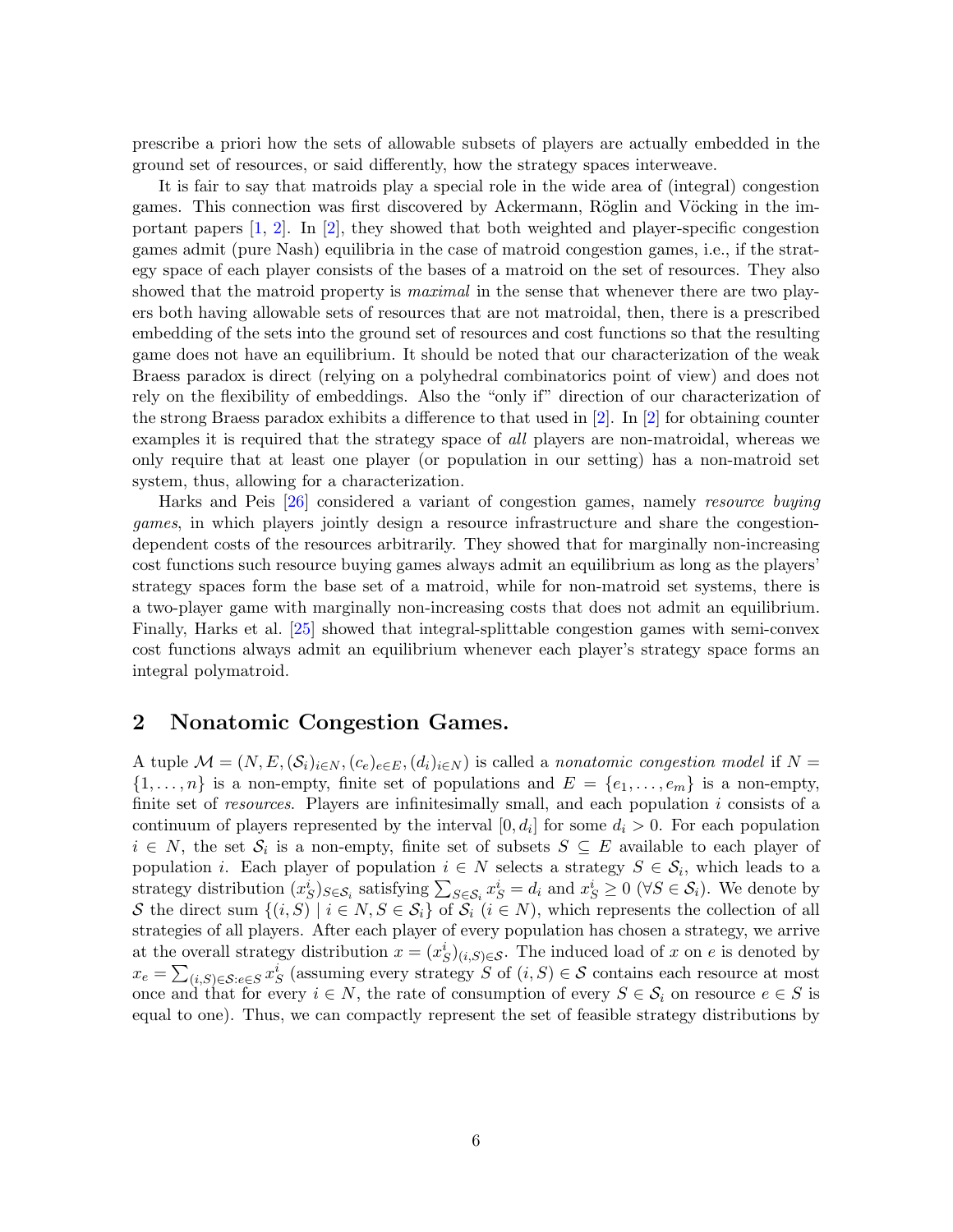prescribe a priori how the sets of allowable subsets of players are actually embedded in the ground set of resources, or said differently, how the strategy spaces interweave.

It is fair to say that matroids play a special role in the wide area of (integral) congestion games. This connection was first discovered by Ackermann, Röglin and Vöcking in the important papers  $[1, 2]$  $[1, 2]$ . In  $[2]$ , they showed that both weighted and player-specific congestion games admit (pure Nash) equilibria in the case of matroid congestion games, i.e., if the strategy space of each player consists of the bases of a matroid on the set of resources. They also showed that the matroid property is *maximal* in the sense that whenever there are two players both having allowable sets of resources that are not matroidal, then, there is a prescribed embedding of the sets into the ground set of resources and cost functions so that the resulting game does not have an equilibrium. It should be noted that our characterization of the weak Braess paradox is direct (relying on a polyhedral combinatorics point of view) and does not rely on the flexibility of embeddings. Also the "only if" direction of our characterization of the strong Braess paradox exhibits a difference to that used in [\[2\]](#page-22-2). In [\[2\]](#page-22-2) for obtaining counter examples it is required that the strategy space of all players are non-matroidal, whereas we only require that at least one player (or population in our setting) has a non-matroid set system, thus, allowing for a characterization.

Harks and Peis [\[26\]](#page-24-13) considered a variant of congestion games, namely resource buying games, in which players jointly design a resource infrastructure and share the congestiondependent costs of the resources arbitrarily. They showed that for marginally non-increasing cost functions such resource buying games always admit an equilibrium as long as the players' strategy spaces form the base set of a matroid, while for non-matroid set systems, there is a two-player game with marginally non-increasing costs that does not admit an equilibrium. Finally, Harks et al. [\[25\]](#page-24-14) showed that integral-splittable congestion games with semi-convex cost functions always admit an equilibrium whenever each player's strategy space forms an integral polymatroid.

## 2 Nonatomic Congestion Games.

A tuple  $\mathcal{M} = (N, E, (\mathcal{S}_i)_{i \in N}, (c_e)_{e \in E}, (d_i)_{i \in N})$  is called a nonatomic congestion model if  $N =$  $\{1,\ldots,n\}$  is a non-empty, finite set of populations and  $E = \{e_1,\ldots,e_m\}$  is a non-empty, finite set of *resources*. Players are infinitesimally small, and each population i consists of a continuum of players represented by the interval  $[0, d_i]$  for some  $d_i > 0$ . For each population  $i \in N$ , the set  $\mathcal{S}_i$  is a non-empty, finite set of subsets  $S \subseteq E$  available to each player of population *i*. Each player of population  $i \in N$  selects a strategy  $S \in \mathcal{S}_i$ , which leads to a strategy distribution  $(x_S^i)_{S \in \mathcal{S}_i}$  satisfying  $\sum_{S \in \mathcal{S}_i} x_S^i = d_i$  and  $x_S^i \geq 0$  ( $\forall S \in \mathcal{S}_i$ ). We denote by S the direct sum  $\{(i, S) \mid i \in N, S \in S_i\}$  of  $\overline{S_i}$   $(i \in N)$ , which represents the collection of all strategies of all players. After each player of every population has chosen a strategy, we arrive at the overall strategy distribution  $x = (x_S^i)_{(i,S) \in \mathcal{S}}$ . The induced load of x on e is denoted by  $x_e = \sum_{(i,S) \in \mathcal{S}: e \in S} x_S^i$  (assuming every strategy S of  $(i, S) \in \mathcal{S}$  contains each resource at most once and that for every  $i \in N$ , the rate of consumption of every  $S \in \mathcal{S}_i$  on resource  $e \in S$  is equal to one). Thus, we can compactly represent the set of feasible strategy distributions by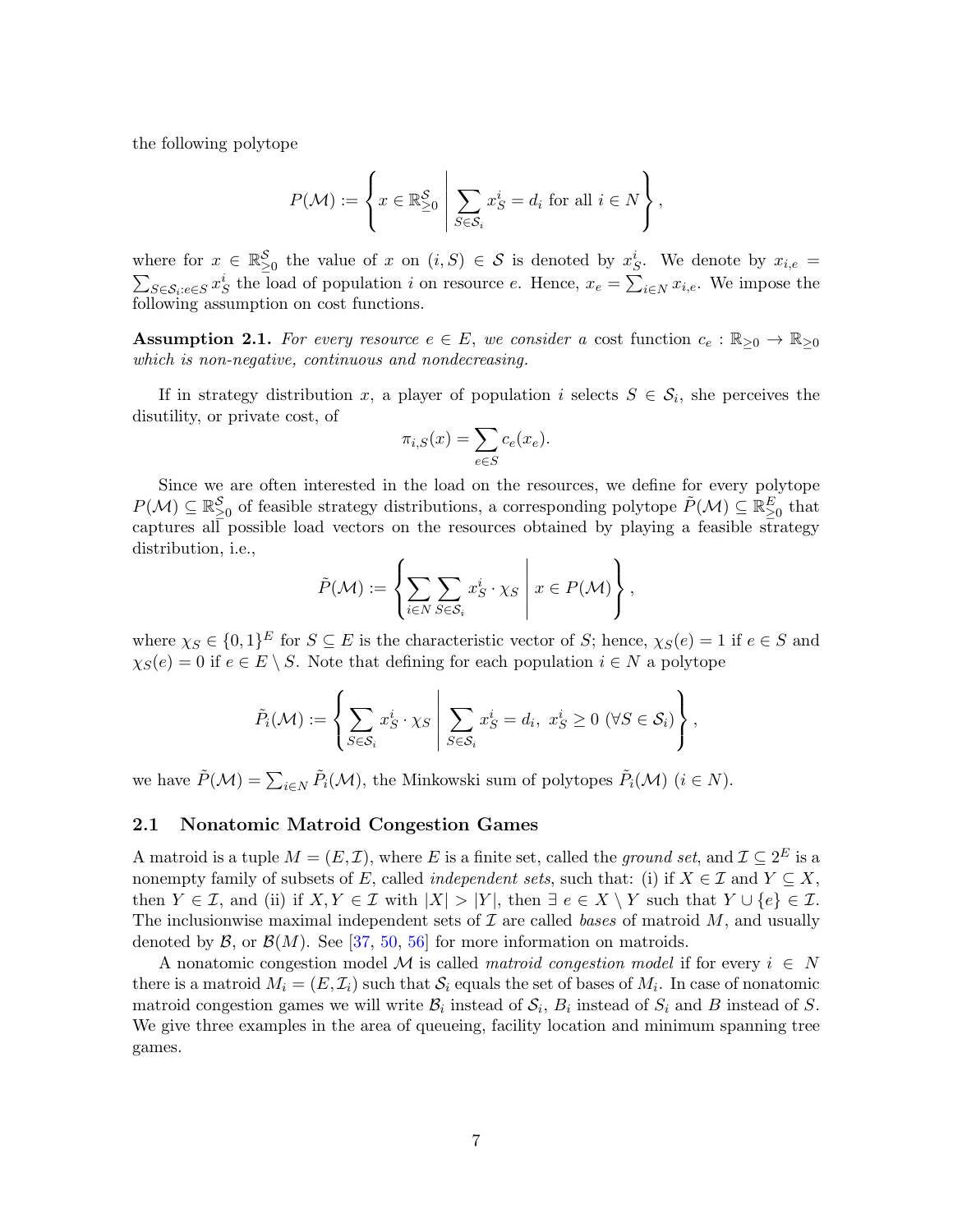the following polytope

$$
P(\mathcal{M}) := \left\{ x \in \mathbb{R}^{\mathcal{S}}_{\geq 0} \middle| \sum_{S \in \mathcal{S}_i} x_S^i = d_i \text{ for all } i \in N \right\},\
$$

where for  $x \in \mathbb{R}^{\mathcal{S}}_{\geq 0}$  the value of x on  $(i, S) \in \mathcal{S}$  is denoted by  $x_{S}^{i}$ . We denote by  $x_{i,e}$  $\sum_{S \in \mathcal{S}_i: e \in S} x_S^i$  the load of population i on resource e. Hence,  $x_e = \sum_{i \in N} x_{i,e}$ . We impose the following assumption on cost functions.

**Assumption 2.1.** For every resource  $e \in E$ , we consider a cost function  $c_e : \mathbb{R}_{\geq 0} \to \mathbb{R}_{\geq 0}$ which is non-negative, continuous and nondecreasing.

If in strategy distribution x, a player of population i selects  $S \in \mathcal{S}_i$ , she perceives the disutility, or private cost, of

$$
\pi_{i,S}(x) = \sum_{e \in S} c_e(x_e).
$$

Since we are often interested in the load on the resources, we define for every polytope  $P(\mathcal{M}) \subseteq \mathbb{R}_{\geq 0}^{\mathcal{S}}$  of feasible strategy distributions, a corresponding polytope  $\tilde{P}(\mathcal{M}) \subseteq \mathbb{R}_{\geq 0}^E$  that captures all possible load vectors on the resources obtained by playing a feasible strategy distribution, i.e.,

$$
\tilde{P}(\mathcal{M}) := \left\{ \sum_{i \in N} \sum_{S \in \mathcal{S}_i} x_S^i \cdot \chi_S \middle| x \in P(\mathcal{M}) \right\},\
$$

where  $\chi_S \in \{0,1\}^E$  for  $S \subseteq E$  is the characteristic vector of S; hence,  $\chi_S(e) = 1$  if  $e \in S$  and  $\chi_S(e) = 0$  if  $e \in E \setminus S$ . Note that defining for each population  $i \in N$  a polytope

$$
\tilde{P}_i(\mathcal{M}) := \left\{ \sum_{S \in \mathcal{S}_i} x_S^i \cdot \chi_S \middle| \sum_{S \in \mathcal{S}_i} x_S^i = d_i, \ x_S^i \ge 0 \ (\forall S \in \mathcal{S}_i) \right\},\
$$

we have  $\tilde{P}(\mathcal{M}) = \sum_{i \in N} \tilde{P}_i(\mathcal{M})$ , the Minkowski sum of polytopes  $\tilde{P}_i(\mathcal{M})$   $(i \in N)$ .

### 2.1 Nonatomic Matroid Congestion Games

A matroid is a tuple  $M = (E, \mathcal{I})$ , where E is a finite set, called the ground set, and  $\mathcal{I} \subseteq 2^E$  is a nonempty family of subsets of E, called *independent sets*, such that: (i) if  $X \in \mathcal{I}$  and  $Y \subseteq X$ , then  $Y \in \mathcal{I}$ , and (ii) if  $X, Y \in \mathcal{I}$  with  $|X| > |Y|$ , then  $\exists e \in X \setminus Y$  such that  $Y \cup \{e\} \in \mathcal{I}$ . The inclusionwise maximal independent sets of  $\mathcal I$  are called bases of matroid  $M$ , and usually denoted by  $\mathcal{B}$ , or  $\mathcal{B}(M)$ . See [\[37,](#page-24-15) [50,](#page-25-13) [56\]](#page-25-14) for more information on matroids.

A nonatomic congestion model M is called matroid congestion model if for every  $i \in N$ there is a matroid  $M_i = (E, \mathcal{I}_i)$  such that  $\mathcal{S}_i$  equals the set of bases of  $M_i$ . In case of nonatomic matroid congestion games we will write  $\mathcal{B}_i$  instead of  $\mathcal{S}_i$ ,  $B_i$  instead of  $S_i$  and  $B$  instead of  $S$ . We give three examples in the area of queueing, facility location and minimum spanning tree games.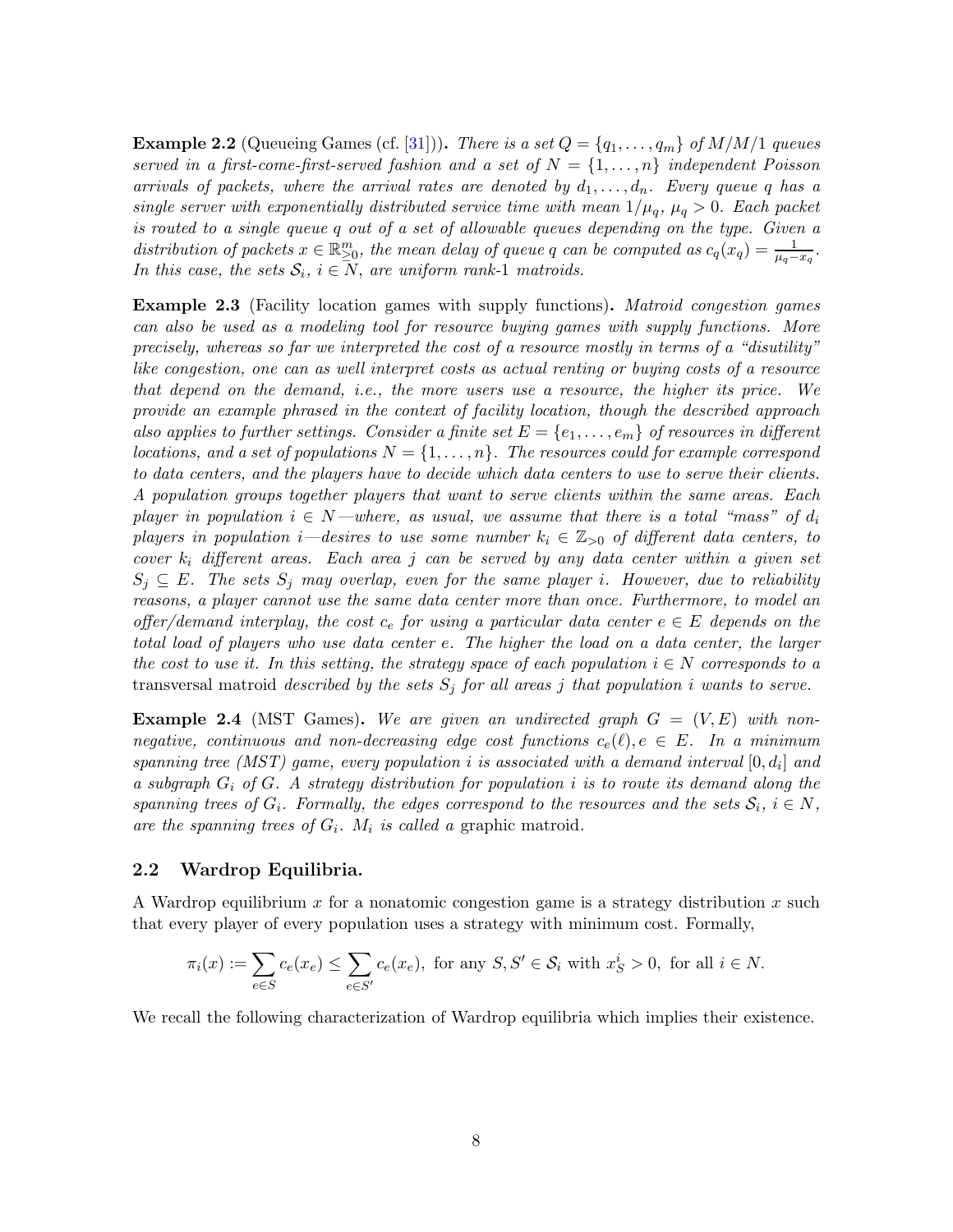**Example 2.2** (Queueing Games (cf. [\[31\]](#page-24-1))). There is a set  $Q = \{q_1, \ldots, q_m\}$  of  $M/M/1$  queues served in a first-come-first-served fashion and a set of  $N = \{1, \ldots, n\}$  independent Poisson arrivals of packets, where the arrival rates are denoted by  $d_1, \ldots, d_n$ . Every queue q has a single server with exponentially distributed service time with mean  $1/\mu_q$ ,  $\mu_q > 0$ . Each packet is routed to a single queue q out of a set of allowable queues depending on the type. Given a distribution of packets  $x \in \mathbb{R}_{\geq 0}^m$ , the mean delay of queue q can be computed as  $c_q(x_q) = \frac{1}{\mu_q - x_q}$ . In this case, the sets  $S_i$ ,  $i \in N$ , are uniform rank-1 matroids.

Example 2.3 (Facility location games with supply functions). Matroid congestion games can also be used as a modeling tool for resource buying games with supply functions. More precisely, whereas so far we interpreted the cost of a resource mostly in terms of a "disutility" like congestion, one can as well interpret costs as actual renting or buying costs of a resource that depend on the demand, i.e., the more users use a resource, the higher its price. We provide an example phrased in the context of facility location, though the described approach also applies to further settings. Consider a finite set  $E = \{e_1, \ldots, e_m\}$  of resources in different locations, and a set of populations  $N = \{1, \ldots, n\}$ . The resources could for example correspond to data centers, and the players have to decide which data centers to use to serve their clients. A population groups together players that want to serve clients within the same areas. Each player in population  $i \in N$ —where, as usual, we assume that there is a total "mass" of  $d_i$ players in population *i*—desires to use some number  $k_i \in \mathbb{Z}_{>0}$  of different data centers, to cover  $k_i$  different areas. Each area j can be served by any data center within a given set  $S_j \subseteq E$ . The sets  $S_j$  may overlap, even for the same player i. However, due to reliability reasons, a player cannot use the same data center more than once. Furthermore, to model an offer/demand interplay, the cost  $c_e$  for using a particular data center  $e \in E$  depends on the total load of players who use data center e. The higher the load on a data center, the larger the cost to use it. In this setting, the strategy space of each population  $i \in N$  corresponds to a transversal matroid *described by the sets*  $S_j$  for all areas j that population i wants to serve.

**Example 2.4** (MST Games). We are given an undirected graph  $G = (V, E)$  with nonnegative, continuous and non-decreasing edge cost functions  $c_e(\ell), e \in E$ . In a minimum spanning tree (MST) game, every population i is associated with a demand interval  $[0, d_i]$  and a subgraph  $G_i$  of G. A strategy distribution for population i is to route its demand along the spanning trees of  $G_i$ . Formally, the edges correspond to the resources and the sets  $S_i$ ,  $i \in N$ , are the spanning trees of  $G_i$ .  $M_i$  is called a graphic matroid.

#### 2.2 Wardrop Equilibria.

A Wardrop equilibrium x for a nonatomic congestion game is a strategy distribution x such that every player of every population uses a strategy with minimum cost. Formally,

$$
\pi_i(x) := \sum_{e \in S} c_e(x_e) \le \sum_{e \in S'} c_e(x_e), \text{ for any } S, S' \in \mathcal{S}_i \text{ with } x_S^i > 0, \text{ for all } i \in N.
$$

We recall the following characterization of Wardrop equilibria which implies their existence.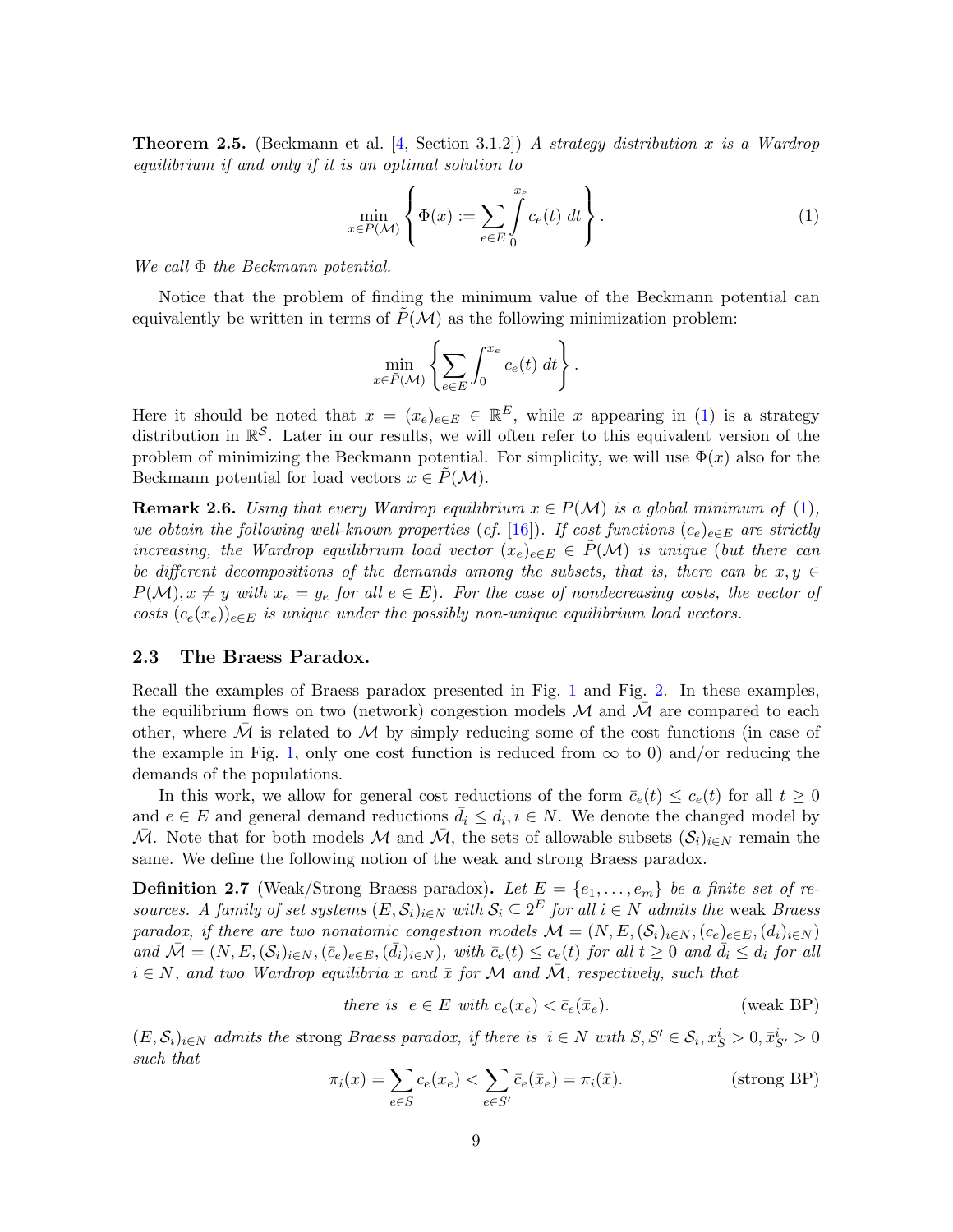**Theorem 2.5.** (Beckmann et al. [\[4,](#page-22-0) Section 3.1.2]) A strategy distribution x is a Wardrop equilibrium if and only if it is an optimal solution to

$$
\min_{x \in P(\mathcal{M})} \left\{ \Phi(x) := \sum_{e \in E} \int_{0}^{x_e} c_e(t) dt \right\}.
$$
 (1)

We call Φ the Beckmann potential.

Notice that the problem of finding the minimum value of the Beckmann potential can equivalently be written in terms of  $\tilde{P}(\mathcal{M})$  as the following minimization problem:

<span id="page-9-1"></span>
$$
\min_{x \in \tilde{P}(\mathcal{M})} \left\{ \sum_{e \in E} \int_0^{x_e} c_e(t) \, dt \right\}.
$$

Here it should be noted that  $x = (x_e)_{e \in E} \in \mathbb{R}^E$ , while x appearing in [\(1\)](#page-9-1) is a strategy distribution in  $\mathbb{R}^S$ . Later in our results, we will often refer to this equivalent version of the problem of minimizing the Beckmann potential. For simplicity, we will use  $\Phi(x)$  also for the Beckmann potential for load vectors  $x \in P(\mathcal{M})$ .

<span id="page-9-0"></span>**Remark 2.6.** Using that every Wardrop equilibrium  $x \in P(\mathcal{M})$  is a global minimum of [\(1\)](#page-9-1), we obtain the following well-known properties (cf. [\[16\]](#page-23-0)). If cost functions  $(c_e)_{e \in E}$  are strictly increasing, the Wardrop equilibrium load vector  $(x_e)_{e \in E} \in \tilde{P}(\mathcal{M})$  is unique (but there can be different decompositions of the demands among the subsets, that is, there can be  $x, y \in$  $P(\mathcal{M}), x \neq y$  with  $x_e = y_e$  for all  $e \in E$ ). For the case of nondecreasing costs, the vector of costs  $(c_e(x_e))_{e \in E}$  is unique under the possibly non-unique equilibrium load vectors.

### 2.3 The Braess Paradox.

Recall the examples of Braess paradox presented in Fig. [1](#page-2-0) and Fig. [2.](#page-3-0) In these examples, the equilibrium flows on two (network) congestion models  $M$  and  $M$  are compared to each other, where  $M$  is related to  $M$  by simply reducing some of the cost functions (in case of the example in Fig. [1,](#page-2-0) only one cost function is reduced from  $\infty$  to 0) and/or reducing the demands of the populations.

In this work, we allow for general cost reductions of the form  $\bar{c}_e(t) \leq c_e(t)$  for all  $t \geq 0$ and  $e \in E$  and general demand reductions  $\bar{d}_i \leq d_i, i \in N$ . We denote the changed model by M. Note that for both models M and M, the sets of allowable subsets  $(S_i)_{i\in N}$  remain the same. We define the following notion of the weak and strong Braess paradox.

<span id="page-9-2"></span>**Definition 2.7** (Weak/Strong Braess paradox). Let  $E = \{e_1, \ldots, e_m\}$  be a finite set of resources. A family of set systems  $(E, \mathcal{S}_i)_{i \in N}$  with  $\mathcal{S}_i \subseteq 2^E$  for all  $i \in N$  admits the weak Braess paradox, if there are two nonatomic congestion models  $\mathcal{M} = (N, E, (\mathcal{S}_i)_{i \in N}, (c_e)_{e \in E}, (d_i)_{i \in N})$ and  $\overline{\mathcal{M}} = (N, E, (\mathcal{S}_i)_{i \in N}, (\overline{c}_e)_{e \in E}, (\overline{d}_i)_{i \in N})$ , with  $\overline{c}_e(t) \leq c_e(t)$  for all  $t \geq 0$  and  $\overline{d}_i \leq d_i$  for all  $i \in N$ , and two Wardrop equilibria x and  $\bar{x}$  for M and M, respectively, such that

there is 
$$
e \in E
$$
 with  $c_e(x_e) < \bar{c}_e(\bar{x}_e)$ . (weak BP)

 $(E, \mathcal{S}_i)_{i \in \mathbb{N}}$  admits the strong Braess paradox, if there is  $i \in \mathbb{N}$  with  $S, S' \in \mathcal{S}_i, x_S^i > 0, \bar{x}_{S'}^i > 0$ such that

$$
\pi_i(x) = \sum_{e \in S} c_e(x_e) < \sum_{e \in S'} \bar{c}_e(\bar{x}_e) = \pi_i(\bar{x}). \tag{strong BP}
$$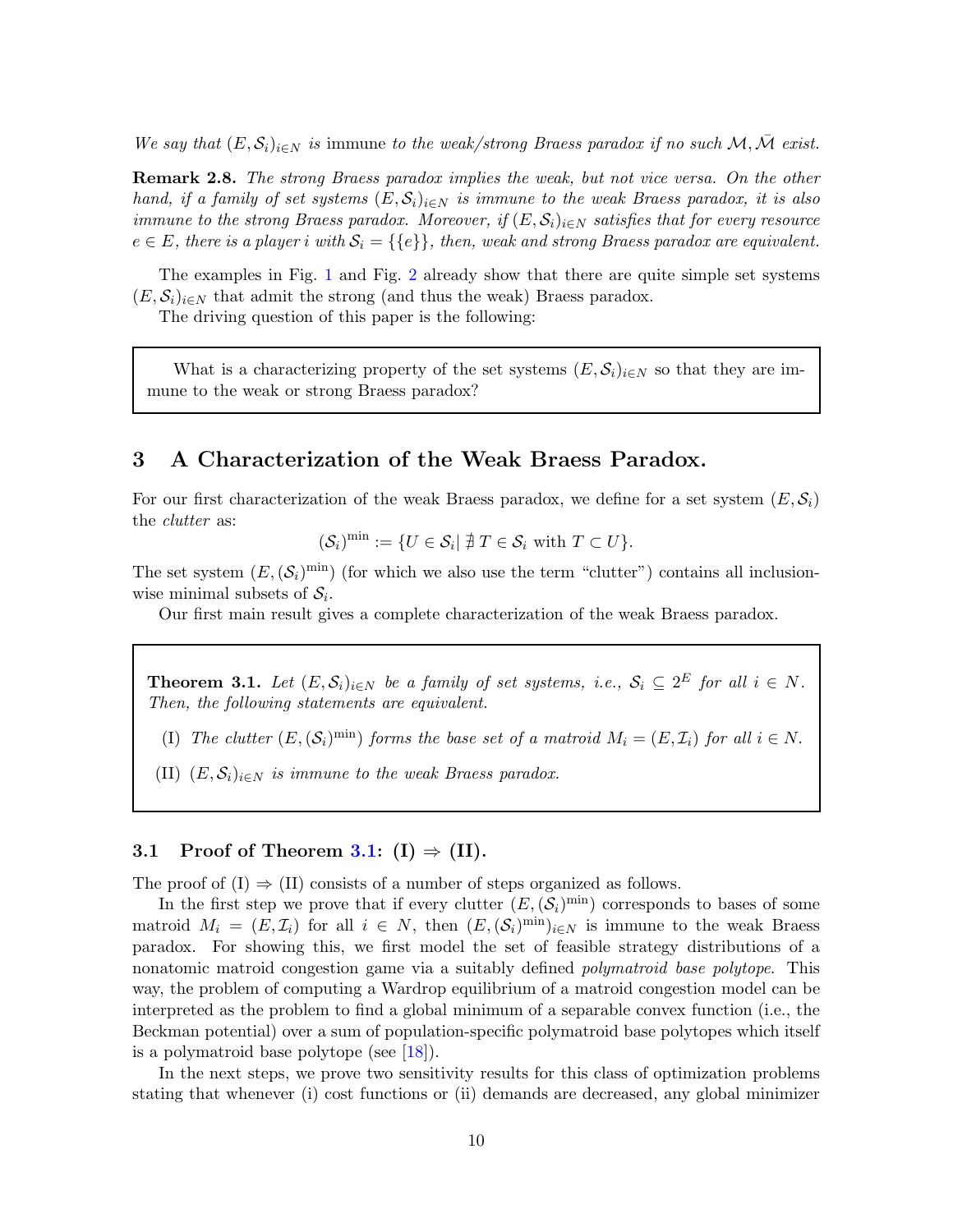We say that  $(E, \mathcal{S}_i)_{i\in\mathbb{N}}$  is immune to the weak/strong Braess paradox if no such  $\mathcal{M}, \bar{\mathcal{M}}$  exist.

**Remark 2.8.** The strong Braess paradox implies the weak, but not vice versa. On the other hand, if a family of set systems  $(E, \mathcal{S}_i)_{i \in \mathbb{N}}$  is immune to the weak Braess paradox, it is also immune to the strong Braess paradox. Moreover, if  $(E, S_i)_{i \in N}$  satisfies that for every resource  $e \in E$ , there is a player i with  $\mathcal{S}_i = \{\{e\}\}\$ , then, weak and strong Braess paradox are equivalent.

The examples in Fig. [1](#page-2-0) and Fig. [2](#page-3-0) already show that there are quite simple set systems  $(E, \mathcal{S}_i)_{i \in \mathbb{N}}$  that admit the strong (and thus the weak) Braess paradox.

The driving question of this paper is the following:

What is a characterizing property of the set systems  $(E, S_i)_{i \in N}$  so that they are immune to the weak or strong Braess paradox?

# 3 A Characterization of the Weak Braess Paradox.

For our first characterization of the weak Braess paradox, we define for a set system  $(E, \mathcal{S}_i)$ the clutter as:

 $(\mathcal{S}_i)^{\min} := \{ U \in \mathcal{S}_i \mid \nexists T \in \mathcal{S}_i \text{ with } T \subset U \}.$ 

The set system  $(E, (\mathcal{S}_i)^{\text{min}})$  (for which we also use the term "clutter") contains all inclusionwise minimal subsets of  $S_i$ .

Our first main result gives a complete characterization of the weak Braess paradox.

<span id="page-10-0"></span>**Theorem 3.1.** Let  $(E, \mathcal{S}_i)_{i \in N}$  be a family of set systems, i.e.,  $\mathcal{S}_i \subseteq 2^E$  for all  $i \in N$ . Then, the following statements are equivalent.

(I) The clutter  $(E, (\mathcal{S}_i)^{\text{min}})$  forms the base set of a matroid  $M_i = (E, \mathcal{I}_i)$  for all  $i \in N$ .

(II)  $(E, \mathcal{S}_i)_{i \in N}$  is immune to the weak Braess paradox.

# 3.1 Proof of Theorem [3.1:](#page-10-0) (I)  $\Rightarrow$  (II).

The proof of  $(I) \Rightarrow (II)$  consists of a number of steps organized as follows.

In the first step we prove that if every clutter  $(E, (\mathcal{S}_i)^{\text{min}})$  corresponds to bases of some matroid  $M_i = (E, \mathcal{I}_i)$  for all  $i \in N$ , then  $(E, (\mathcal{S}_i)^{\min})_{i \in N}$  is immune to the weak Braess paradox. For showing this, we first model the set of feasible strategy distributions of a nonatomic matroid congestion game via a suitably defined polymatroid base polytope. This way, the problem of computing a Wardrop equilibrium of a matroid congestion model can be interpreted as the problem to find a global minimum of a separable convex function (i.e., the Beckman potential) over a sum of population-specific polymatroid base polytopes which itself is a polymatroid base polytope (see [\[18\]](#page-23-14)).

In the next steps, we prove two sensitivity results for this class of optimization problems stating that whenever (i) cost functions or (ii) demands are decreased, any global minimizer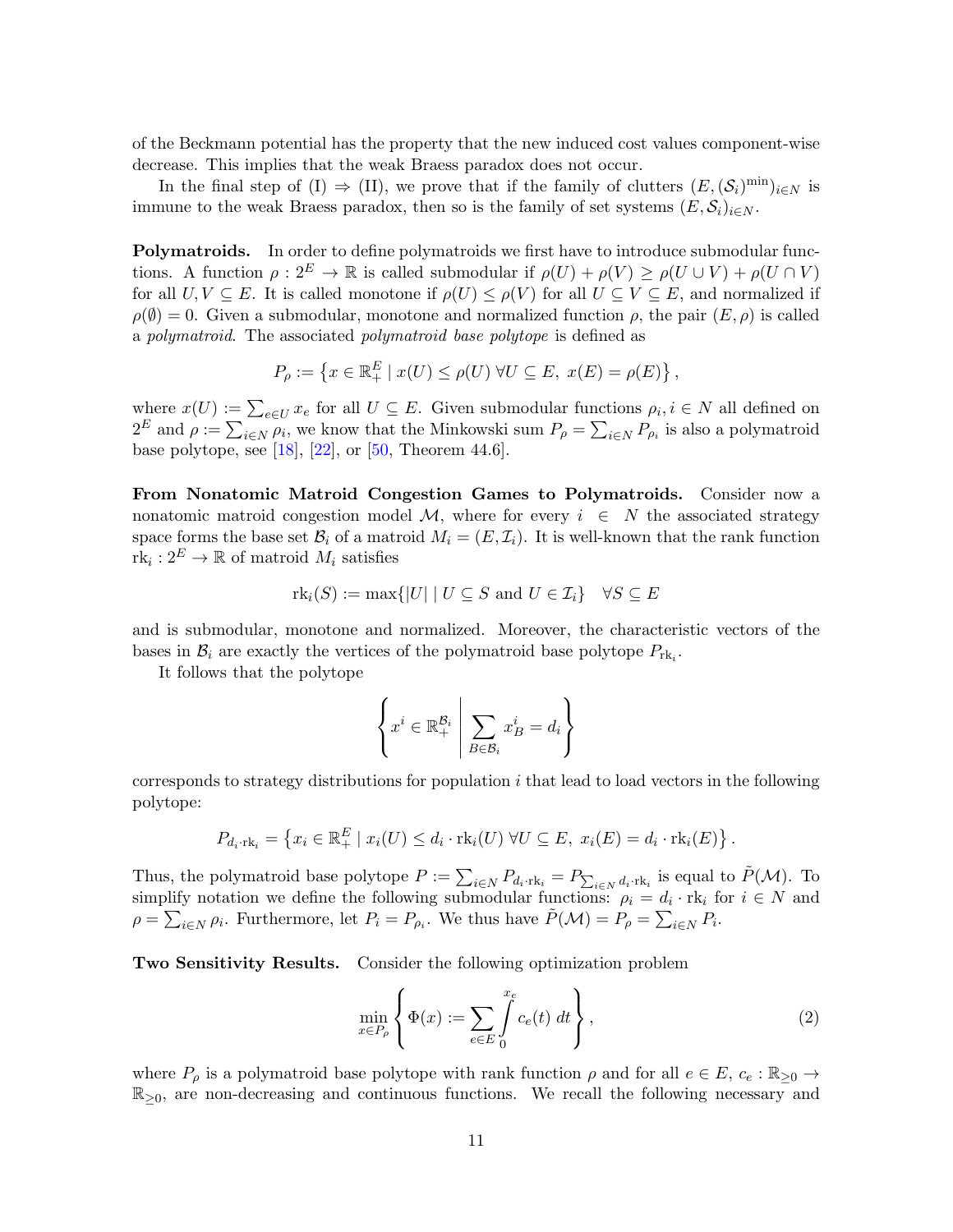of the Beckmann potential has the property that the new induced cost values component-wise decrease. This implies that the weak Braess paradox does not occur.

In the final step of (I)  $\Rightarrow$  (II), we prove that if the family of clutters  $(E, (\mathcal{S}_i)^{\min})_{i \in N}$  is immune to the weak Braess paradox, then so is the family of set systems  $(E, \mathcal{S}_i)_{i \in N}$ .

Polymatroids. In order to define polymatroids we first have to introduce submodular functions. A function  $\rho: 2^E \to \mathbb{R}$  is called submodular if  $\rho(U) + \rho(V) \ge \rho(U \cup V) + \rho(U \cap V)$ for all  $U, V \subseteq E$ . It is called monotone if  $\rho(U) \leq \rho(V)$  for all  $U \subseteq V \subseteq E$ , and normalized if  $\rho(\emptyset) = 0$ . Given a submodular, monotone and normalized function  $\rho$ , the pair  $(E, \rho)$  is called a polymatroid. The associated polymatroid base polytope is defined as

$$
P_{\rho} := \left\{ x \in \mathbb{R}_+^E \mid x(U) \le \rho(U) \,\forall U \subseteq E, \, x(E) = \rho(E) \right\},\,
$$

where  $x(U) := \sum_{e \in U} x_e$  for all  $U \subseteq E$ . Given submodular functions  $\rho_i, i \in N$  all defined on  $2^E$  and  $\rho := \sum_{i \in N} \rho_i$ , we know that the Minkowski sum  $P_\rho = \sum_{i \in N} P_{\rho_i}$  is also a polymatroid base polytope, see [\[18\]](#page-23-14), [\[22\]](#page-24-2), or [\[50,](#page-25-13) Theorem 44.6].

From Nonatomic Matroid Congestion Games to Polymatroids. Consider now a nonatomic matroid congestion model M, where for every  $i \in N$  the associated strategy space forms the base set  $\mathcal{B}_i$  of a matroid  $M_i = (E, \mathcal{I}_i)$ . It is well-known that the rank function  $\text{rk}_i: 2^E \to \mathbb{R}$  of matroid  $M_i$  satisfies

$$
rk_i(S) := \max\{|U| \mid U \subseteq S \text{ and } U \in \mathcal{I}_i\} \quad \forall S \subseteq E
$$

and is submodular, monotone and normalized. Moreover, the characteristic vectors of the bases in  $\mathcal{B}_i$  are exactly the vertices of the polymatroid base polytope  $P_{\text{rk}_i}$ .

It follows that the polytope

$$
\left\{ x^i \in \mathbb{R}_+^{\mathcal{B}_i} \middle| \sum_{B \in \mathcal{B}_i} x_B^i = d_i \right\}
$$

corresponds to strategy distributions for population  $i$  that lead to load vectors in the following polytope:

$$
P_{d_i \cdot \text{rk}_i} = \left\{ x_i \in \mathbb{R}_+^E \mid x_i(U) \leq d_i \cdot \text{rk}_i(U) \ \forall U \subseteq E, \ x_i(E) = d_i \cdot \text{rk}_i(E) \right\}.
$$

Thus, the polymatroid base polytope  $P := \sum_{i \in N} P_{d_i \cdot \text{rk}_i} = P_{\sum_{i \in N} d_i \cdot \text{rk}_i}$  is equal to  $\tilde{P}(\mathcal{M})$ . To simplify notation we define the following submodular functions:  $\rho_i = d_i \cdot \text{rk}_i$  for  $i \in N$  and  $\rho = \sum_{i \in N} \rho_i$ . Furthermore, let  $P_i = P_{\rho_i}$ . We thus have  $\tilde{P}(\mathcal{M}) = P_{\rho} = \sum_{i \in N} P_i$ .

Two Sensitivity Results. Consider the following optimization problem

<span id="page-11-0"></span>
$$
\min_{x \in P_{\rho}} \left\{ \Phi(x) := \sum_{e \in E} \int_{0}^{x_e} c_e(t) dt \right\},\tag{2}
$$

where  $P_\rho$  is a polymatroid base polytope with rank function  $\rho$  and for all  $e \in E$ ,  $c_e : \mathbb{R}_{\geq 0} \to$  $\mathbb{R}_{\geq 0}$ , are non-decreasing and continuous functions. We recall the following necessary and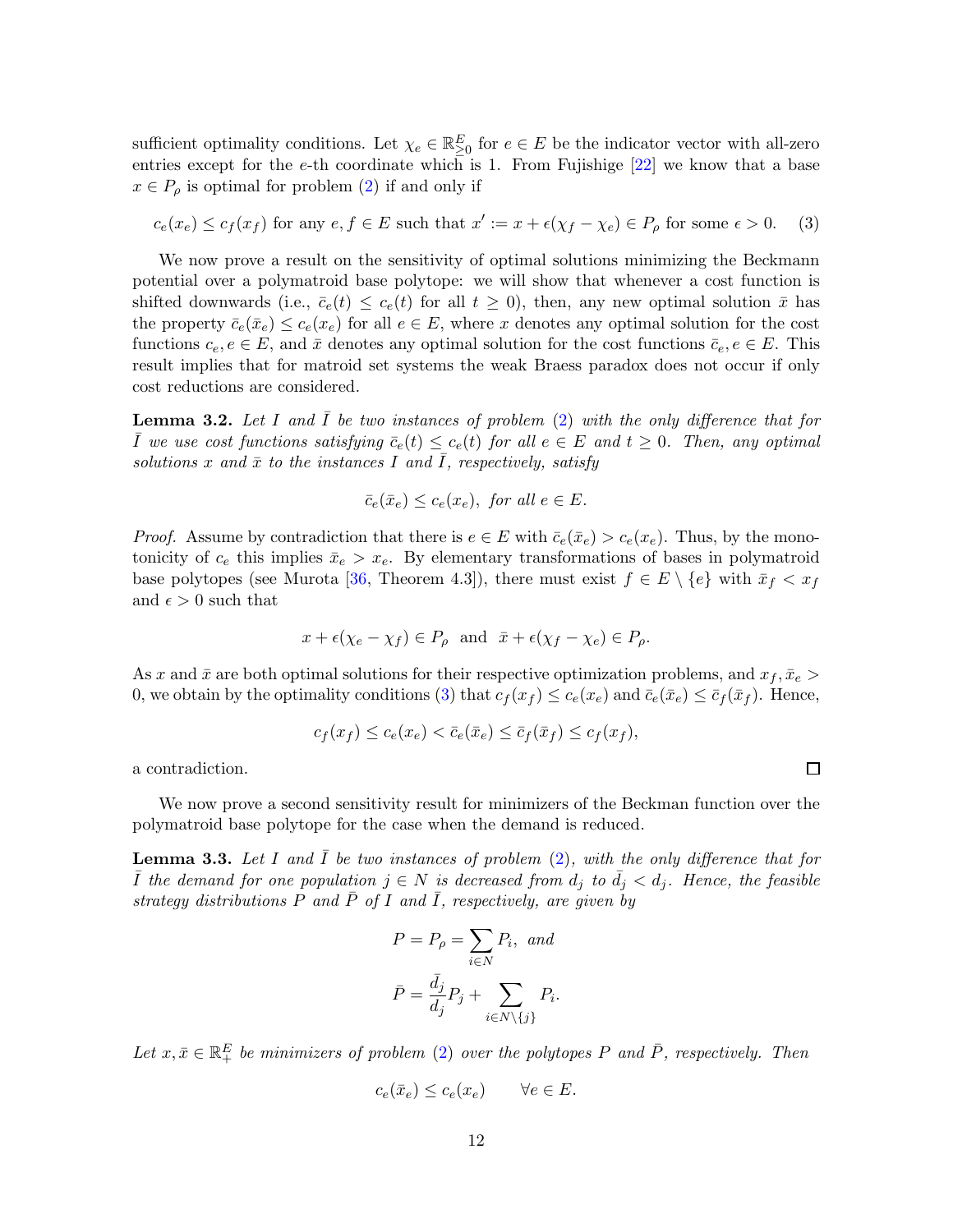sufficient optimality conditions. Let  $\chi_e \in \mathbb{R}_{\geq 0}^E$  for  $e \in E$  be the indicator vector with all-zero entries except for the e-th coordinate which is 1. From Fujishige  $[22]$  we know that a base  $x \in P_\rho$  is optimal for problem [\(2\)](#page-11-0) if and only if

$$
c_e(x_e) \le c_f(x_f) \text{ for any } e, f \in E \text{ such that } x' := x + \epsilon(\chi_f - \chi_e) \in P_\rho \text{ for some } \epsilon > 0. \tag{3}
$$

We now prove a result on the sensitivity of optimal solutions minimizing the Beckmann potential over a polymatroid base polytope: we will show that whenever a cost function is shifted downwards (i.e.,  $\bar{c}_e(t) \leq c_e(t)$  for all  $t \geq 0$ ), then, any new optimal solution  $\bar{x}$  has the property  $\bar{c}_e(\bar{x}_e) \leq c_e(x_e)$  for all  $e \in E$ , where x denotes any optimal solution for the cost functions  $c_e, e \in E$ , and  $\bar{x}$  denotes any optimal solution for the cost functions  $\bar{c}_e, e \in E$ . This result implies that for matroid set systems the weak Braess paradox does not occur if only cost reductions are considered.

<span id="page-12-0"></span>**Lemma 3.2.** Let I and  $\overline{I}$  be two instances of problem [\(2\)](#page-11-0) with the only difference that for  $\overline{I}$  we use cost functions satisfying  $\overline{c}_e(t) \leq c_e(t)$  for all  $e \in E$  and  $t \geq 0$ . Then, any optimal solutions x and  $\bar{x}$  to the instances I and  $\bar{I}$ , respectively, satisfy

<span id="page-12-2"></span>
$$
\bar{c}_e(\bar{x}_e) \le c_e(x_e), \text{ for all } e \in E.
$$

*Proof.* Assume by contradiction that there is  $e \in E$  with  $\bar{c}_e(\bar{x}_e) > c_e(x_e)$ . Thus, by the monotonicity of  $c_e$  this implies  $\bar{x}_e > x_e$ . By elementary transformations of bases in polymatroid base polytopes (see Murota [\[36,](#page-24-16) Theorem 4.3]), there must exist  $f \in E \setminus \{e\}$  with  $\bar{x}_f < x_f$ and  $\epsilon > 0$  such that

$$
x + \epsilon(\chi_e - \chi_f) \in P_\rho
$$
 and  $\bar{x} + \epsilon(\chi_f - \chi_e) \in P_\rho$ .

As x and  $\bar{x}$  are both optimal solutions for their respective optimization problems, and  $x_f, \bar{x}_e >$ 0, we obtain by the optimality conditions [\(3\)](#page-12-2) that  $c_f(x_f) \leq c_e(x_e)$  and  $\bar{c}_e(\bar{x}_e) \leq \bar{c}_f(\bar{x}_f)$ . Hence,

$$
c_f(x_f) \le c_e(x_e) < \bar{c}_e(\bar{x}_e) \le \bar{c}_f(\bar{x}_f) \le c_f(x_f),
$$

 $\Box$ 

a contradiction.

We now prove a second sensitivity result for minimizers of the Beckman function over the polymatroid base polytope for the case when the demand is reduced.

<span id="page-12-1"></span>**Lemma 3.3.** Let I and  $\overline{I}$  be two instances of problem [\(2\)](#page-11-0), with the only difference that for  $\overline{I}$  the demand for one population  $j \in N$  is decreased from  $d_j$  to  $d_j < d_j$ . Hence, the feasible strategy distributions P and  $\bar{P}$  of I and  $\bar{I}$ , respectively, are given by

$$
P = P_{\rho} = \sum_{i \in N} P_i, \text{ and}
$$

$$
\bar{P} = \frac{\bar{d}_j}{d_j} P_j + \sum_{i \in N \setminus \{j\}} P_i.
$$

Let  $x, \bar{x} \in \mathbb{R}^E_+$  be minimizers of problem [\(2\)](#page-11-0) over the polytopes P and  $\bar{P}$ , respectively. Then

$$
c_e(\bar{x}_e) \le c_e(x_e) \qquad \forall e \in E.
$$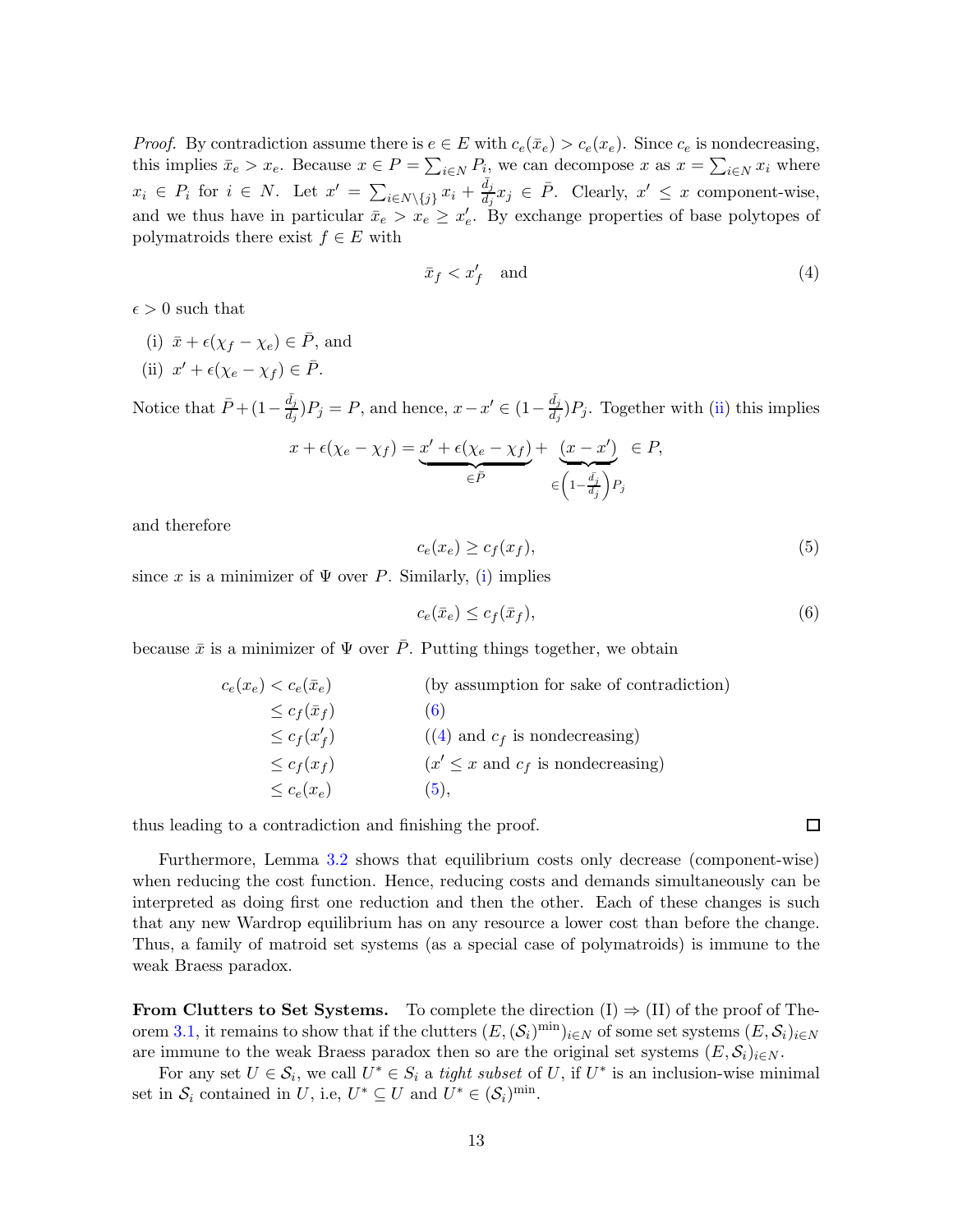*Proof.* By contradiction assume there is  $e \in E$  with  $c_e(\bar{x}_e) > c_e(x_e)$ . Since  $c_e$  is nondecreasing, this implies  $\bar{x}_e > x_e$ . Because  $x \in P = \sum_{i \in N} P_i$ , we can decompose x as  $x = \sum_{i \in N} x_i$  where  $x_i \in P_i$  for  $i \in N$ . Let  $x' = \sum_{i \in N \setminus \{j\}} x_i + \frac{\bar{d}_j}{d_j} x_j \in \bar{P}$ . Clearly,  $x' \leq x$  component-wise, and we thus have in particular  $\bar{x}_e > x_e \geq x'_e$ . By exchange properties of base polytopes of polymatroids there exist  $f \in E$  with

<span id="page-13-3"></span>
$$
\bar{x}_f < x_f' \quad \text{and} \tag{4}
$$

<span id="page-13-1"></span> $\epsilon > 0$  such that

- <span id="page-13-0"></span>(i)  $\bar{x} + \epsilon(\chi_f - \chi_e) \in \bar{P}$ , and
- (ii)  $x' + \epsilon(\chi_e \chi_f) \in \overline{P}$ .

Notice that  $\bar{P} + (1 - \frac{\bar{d}_j}{d_j})P_j = P$ , and hence,  $x - x' \in (1 - \frac{\bar{d}_j}{d_j})P_j$ . Together with [\(ii\)](#page-13-0) this implies

$$
x + \epsilon(\chi_e - \chi_f) = \underbrace{x' + \epsilon(\chi_e - \chi_f)}_{\in \bar{P}} + \underbrace{(x - x')}_{\in \left(1 - \frac{\bar{d}_j}{d_j}\right)P_j} \in P,
$$

and therefore

<span id="page-13-4"></span>
$$
c_e(x_e) \ge c_f(x_f),\tag{5}
$$

since x is a minimizer of  $\Psi$  over P. Similarly, [\(i\)](#page-13-1) implies

<span id="page-13-2"></span>
$$
c_e(\bar{x}_e) \le c_f(\bar{x}_f),\tag{6}
$$

because  $\bar{x}$  is a minimizer of  $\Psi$  over  $\bar{P}$ . Putting things together, we obtain

| $c_e(x_e) < c_e(\bar{x}_e)$ | (by assumption for sake of contradiction) |
|-----------------------------|-------------------------------------------|
| $\leq c_f(\bar{x}_f)$       | (6)                                       |
| $\leq c_f(x'_f)$            | $((4)$ and $c_f$ is nondecreasing)        |
| $\leq c_f(x_f)$             | $(x' \leq x$ and $c_f$ is nondecreasing)  |
| $\leq c_e(x_e)$             | (5).                                      |

thus leading to a contradiction and finishing the proof.

Furthermore, Lemma [3.2](#page-12-0) shows that equilibrium costs only decrease (component-wise) when reducing the cost function. Hence, reducing costs and demands simultaneously can be interpreted as doing first one reduction and then the other. Each of these changes is such that any new Wardrop equilibrium has on any resource a lower cost than before the change. Thus, a family of matroid set systems (as a special case of polymatroids) is immune to the weak Braess paradox.

From Clutters to Set Systems. To complete the direction  $(I) \Rightarrow (II)$  of the proof of The-orem [3.1,](#page-10-0) it remains to show that if the clutters  $(E, (\mathcal{S}_i)^{\min})_{i \in N}$  of some set systems  $(E, \mathcal{S}_i)_{i \in N}$ are immune to the weak Braess paradox then so are the original set systems  $(E, S_i)_{i \in N}$ .

For any set  $U \in \mathcal{S}_i$ , we call  $U^* \in \mathcal{S}_i$  a tight subset of U, if  $U^*$  is an inclusion-wise minimal set in  $S_i$  contained in U, i.e,  $U^* \subseteq U$  and  $U^* \in (S_i)^{\text{min}}$ .

 $\Box$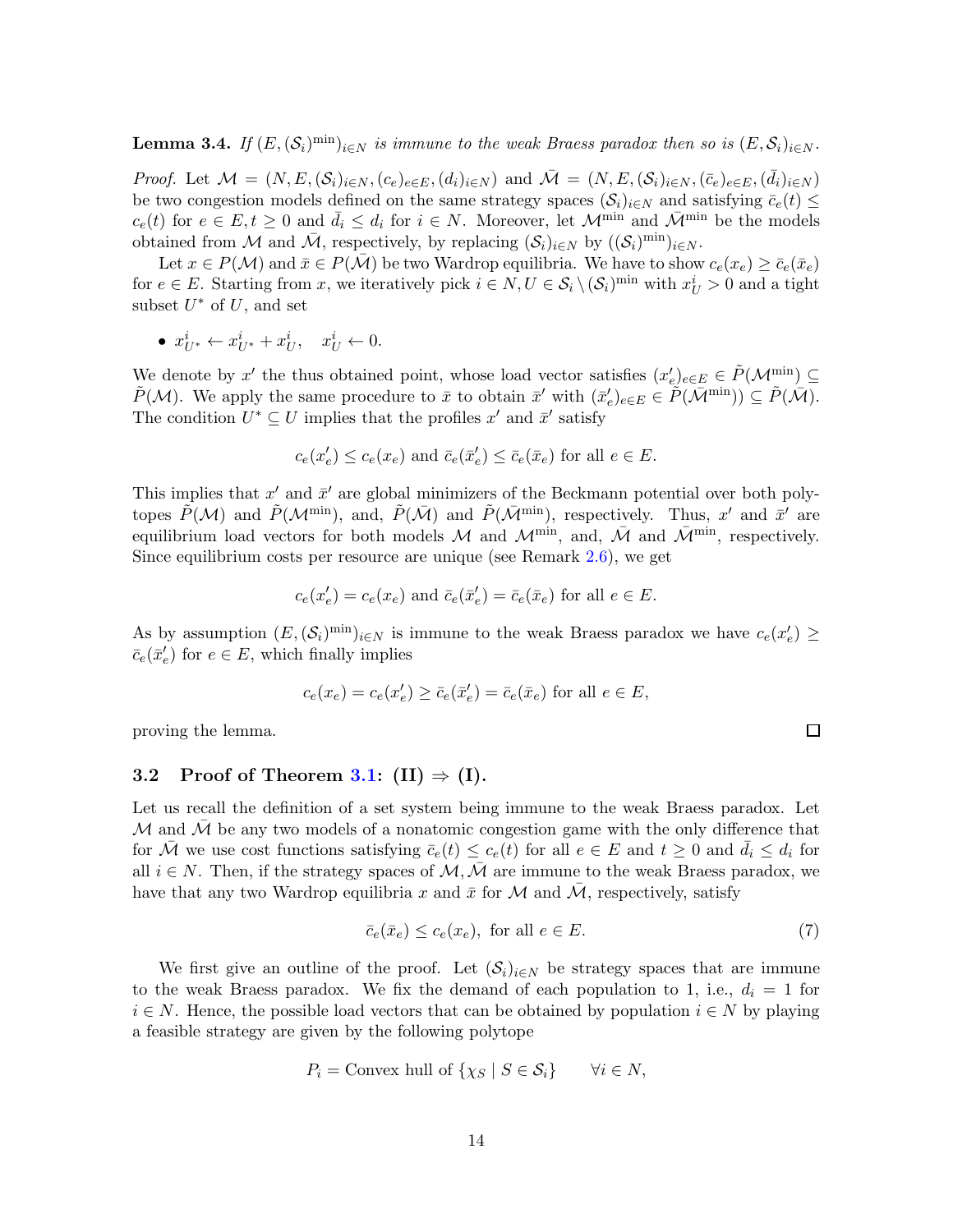**Lemma 3.4.** If  $(E, (\mathcal{S}_i)^{\min})_{i \in N}$  is immune to the weak Braess paradox then so is  $(E, \mathcal{S}_i)_{i \in N}$ .

*Proof.* Let  $\mathcal{M} = (N, E, (\mathcal{S}_i)_{i \in N}, (c_e)_{e \in E}, (d_i)_{i \in N})$  and  $\overline{\mathcal{M}} = (N, E, (\mathcal{S}_i)_{i \in N}, (\overline{c}_e)_{e \in E}, (\overline{d}_i)_{i \in N})$ be two congestion models defined on the same strategy spaces  $(\mathcal{S}_i)_{i\in\mathbb{N}}$  and satisfying  $\bar{c}_e(t) \leq$  $c_e(t)$  for  $e \in E, t \geq 0$  and  $\bar{d}_i \leq d_i$  for  $i \in N$ . Moreover, let  $\mathcal{M}^{\min}$  and  $\bar{\mathcal{M}}^{\min}$  be the models obtained from M and  $\bar{\mathcal{M}}$ , respectively, by replacing  $(\mathcal{S}_i)_{i\in\mathbb{N}}$  by  $((\mathcal{S}_i)^{\min})_{i\in\mathbb{N}}$ .

Let  $x \in P(\mathcal{M})$  and  $\bar{x} \in P(\bar{\mathcal{M}})$  be two Wardrop equilibria. We have to show  $c_e(x_e) \geq \bar{c}_e(\bar{x}_e)$ for  $e \in E$ . Starting from x, we iteratively pick  $i \in N, U \in \mathcal{S}_i \setminus (\mathcal{S}_i)^{\text{min}}$  with  $x_U^i > 0$  and a tight subset  $U^*$  of  $U$ , and set

•  $x_{U^*}^i \leftarrow x_{U^*}^i + x_U^i$ ,  $x_U^i \leftarrow 0$ .

We denote by x' the thus obtained point, whose load vector satisfies  $(x'_e)_{e \in E} \in \tilde{P}(\mathcal{M}^{\min}_{z}) \subseteq$  $\tilde{P}(\mathcal{M})$ . We apply the same procedure to  $\bar{x}$  to obtain  $\bar{x}'$  with  $(\bar{x}'_e)_{e \in E} \in \tilde{P}(\bar{\mathcal{M}}^{\min}) \subseteq \tilde{P}(\bar{\mathcal{M}})$ . The condition  $U^* \subseteq U$  implies that the profiles  $x'$  and  $\bar{x}'$  satisfy

$$
c_e(x'_e) \leq c_e(x_e)
$$
 and  $\bar{c}_e(\bar{x}'_e) \leq \bar{c}_e(\bar{x}_e)$  for all  $e \in E$ .

This implies that  $x'$  and  $\bar{x}'$  are global minimizers of the Beckmann potential over both polytopes  $\tilde{P}(\mathcal{M})$  and  $\tilde{P}(\mathcal{M}^{\min})$ , and,  $\tilde{P}(\bar{\mathcal{M}})$  and  $\tilde{P}(\bar{\mathcal{M}}^{\min})$ , respectively. Thus, x' and  $\bar{x}'$  are equilibrium load vectors for both models M and  $\mathcal{M}^{\min}$ , and,  $\bar{\mathcal{M}}$  and  $\bar{\mathcal{M}}^{\min}$ , respectively. Since equilibrium costs per resource are unique (see Remark [2.6\)](#page-9-0), we get

$$
c_e(x'_e) = c_e(x_e)
$$
 and  $\bar{c}_e(\bar{x}'_e) = \bar{c}_e(\bar{x}_e)$  for all  $e \in E$ .

As by assumption  $(E, (\mathcal{S}_i)^{\min})_{i \in N}$  is immune to the weak Braess paradox we have  $c_e(x'_e) \ge$  $\bar{c}_e(\bar{x}'_e)$  for  $e \in E$ , which finally implies

$$
c_e(x_e) = c_e(x'_e) \ge \overline{c}_e(\overline{x}'_e) = \overline{c}_e(\overline{x}_e)
$$
 for all  $e \in E$ ,

proving the lemma.

### 3.2 Proof of Theorem [3.1:](#page-10-0)  $(II) \Rightarrow (I)$ .

Let us recall the definition of a set system being immune to the weak Braess paradox. Let  $\mathcal M$  and  $\mathcal M$  be any two models of a nonatomic congestion game with the only difference that for  $\bar{\mathcal{M}}$  we use cost functions satisfying  $\bar{c}_e(t) \leq c_e(t)$  for all  $e \in E$  and  $t \geq 0$  and  $\bar{d}_i \leq d_i$  for all  $i \in N$ . Then, if the strategy spaces of  $M, \overline{M}$  are immune to the weak Braess paradox, we have that any two Wardrop equilibria x and  $\bar{x}$  for M and M, respectively, satisfy

$$
\bar{c}_e(\bar{x}_e) \le c_e(x_e), \text{ for all } e \in E. \tag{7}
$$

We first give an outline of the proof. Let  $(\mathcal{S}_i)_{i\in\mathbb{N}}$  be strategy spaces that are immune to the weak Braess paradox. We fix the demand of each population to 1, i.e.,  $d_i = 1$  for  $i \in N$ . Hence, the possible load vectors that can be obtained by population  $i \in N$  by playing a feasible strategy are given by the following polytope

$$
P_i = \text{Convex hull of } \{ \chi_S \mid S \in \mathcal{S}_i \} \qquad \forall i \in N,
$$

口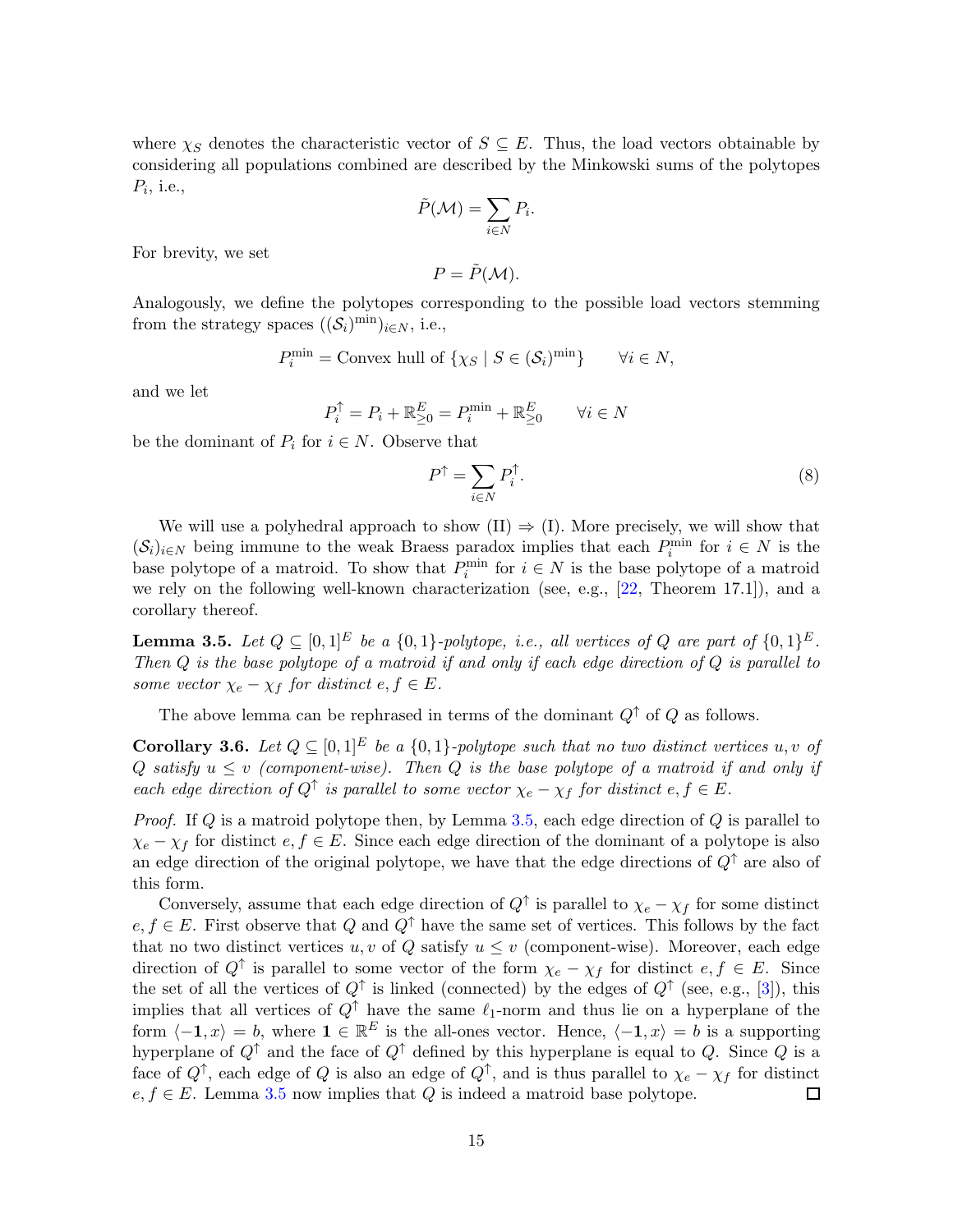where  $\chi_S$  denotes the characteristic vector of  $S \subseteq E$ . Thus, the load vectors obtainable by considering all populations combined are described by the Minkowski sums of the polytopes  $P_i$ , i.e.,

$$
\tilde{P}(\mathcal{M}) = \sum_{i \in N} P_i.
$$

For brevity, we set

$$
P=\tilde{P}(\mathcal{M}).
$$

Analogously, we define the polytopes corresponding to the possible load vectors stemming from the strategy spaces  $((\mathcal{S}_i)^{\min})_{i \in N}$ , i.e.,

$$
P_i^{\min} = \text{Convex hull of } \{ \chi_S \mid S \in (\mathcal{S}_i)^{\min} \} \qquad \forall i \in N,
$$

and we let

$$
P_i^{\uparrow} = P_i + \mathbb{R}_{\geq 0}^E = P_i^{\min} + \mathbb{R}_{\geq 0}^E \qquad \forall i \in \mathbb{N}
$$

be the dominant of  $P_i$  for  $i \in N$ . Observe that

$$
P^{\uparrow} = \sum_{i \in N} P_i^{\uparrow}.\tag{8}
$$

We will use a polyhedral approach to show  $(II) \Rightarrow (I)$ . More precisely, we will show that  $(\mathcal{S}_i)_{i\in\mathbb{N}}$  being immune to the weak Braess paradox implies that each  $P_i^{\min}$  for  $i \in \mathbb{N}$  is the base polytope of a matroid. To show that  $P_i^{\min}$  for  $i \in N$  is the base polytope of a matroid we rely on the following well-known characterization (see, e.g., [\[22,](#page-24-2) Theorem 17.1]), and a corollary thereof.

<span id="page-15-0"></span>**Lemma 3.5.** Let  $Q \subseteq [0,1]^E$  be a  $\{0,1\}$ -polytope, i.e., all vertices of Q are part of  $\{0,1\}^E$ . Then Q is the base polytope of a matroid if and only if each edge direction of Q is parallel to some vector  $\chi_e - \chi_f$  for distinct  $e, f \in E$ .

The above lemma can be rephrased in terms of the dominant  $Q^{\dagger}$  of  $Q$  as follows.

<span id="page-15-1"></span>**Corollary 3.6.** Let  $Q \subseteq [0,1]^E$  be a  $\{0,1\}$ -polytope such that no two distinct vertices u, v of Q satisfy  $u \leq v$  (component-wise). Then Q is the base polytope of a matroid if and only if each edge direction of  $Q^{\uparrow}$  is parallel to some vector  $\chi_e - \chi_f$  for distinct  $e, f \in E$ .

*Proof.* If  $Q$  is a matroid polytope then, by Lemma [3.5,](#page-15-0) each edge direction of  $Q$  is parallel to  $\chi_e - \chi_f$  for distinct  $e, f \in E$ . Since each edge direction of the dominant of a polytope is also an edge direction of the original polytope, we have that the edge directions of  $Q^{\uparrow}$  are also of this form.

Conversely, assume that each edge direction of  $Q^{\uparrow}$  is parallel to  $\chi_e - \chi_f$  for some distinct  $e, f \in E$ . First observe that Q and  $Q^{\uparrow}$  have the same set of vertices. This follows by the fact that no two distinct vertices  $u, v$  of Q satisfy  $u \leq v$  (component-wise). Moreover, each edge direction of  $Q^{\dagger}$  is parallel to some vector of the form  $\chi_e - \chi_f$  for distinct  $e, f \in E$ . Since the set of all the vertices of  $Q^{\uparrow}$  is linked (connected) by the edges of  $Q^{\uparrow}$  (see, e.g., [\[3\]](#page-22-3)), this implies that all vertices of  $Q^{\uparrow}$  have the same  $\ell_1$ -norm and thus lie on a hyperplane of the form  $\langle -1, x \rangle = b$ , where  $1 \in \mathbb{R}^E$  is the all-ones vector. Hence,  $\langle -1, x \rangle = b$  is a supporting hyperplane of  $Q^{\uparrow}$  and the face of  $Q^{\uparrow}$  defined by this hyperplane is equal to Q. Since Q is a face of  $Q^{\uparrow}$ , each edge of  $Q$  is also an edge of  $Q^{\uparrow}$ , and is thus parallel to  $\chi_e - \chi_f$  for distinct  $e, f \in E$ . Lemma [3.5](#page-15-0) now implies that Q is indeed a matroid base polytope. 口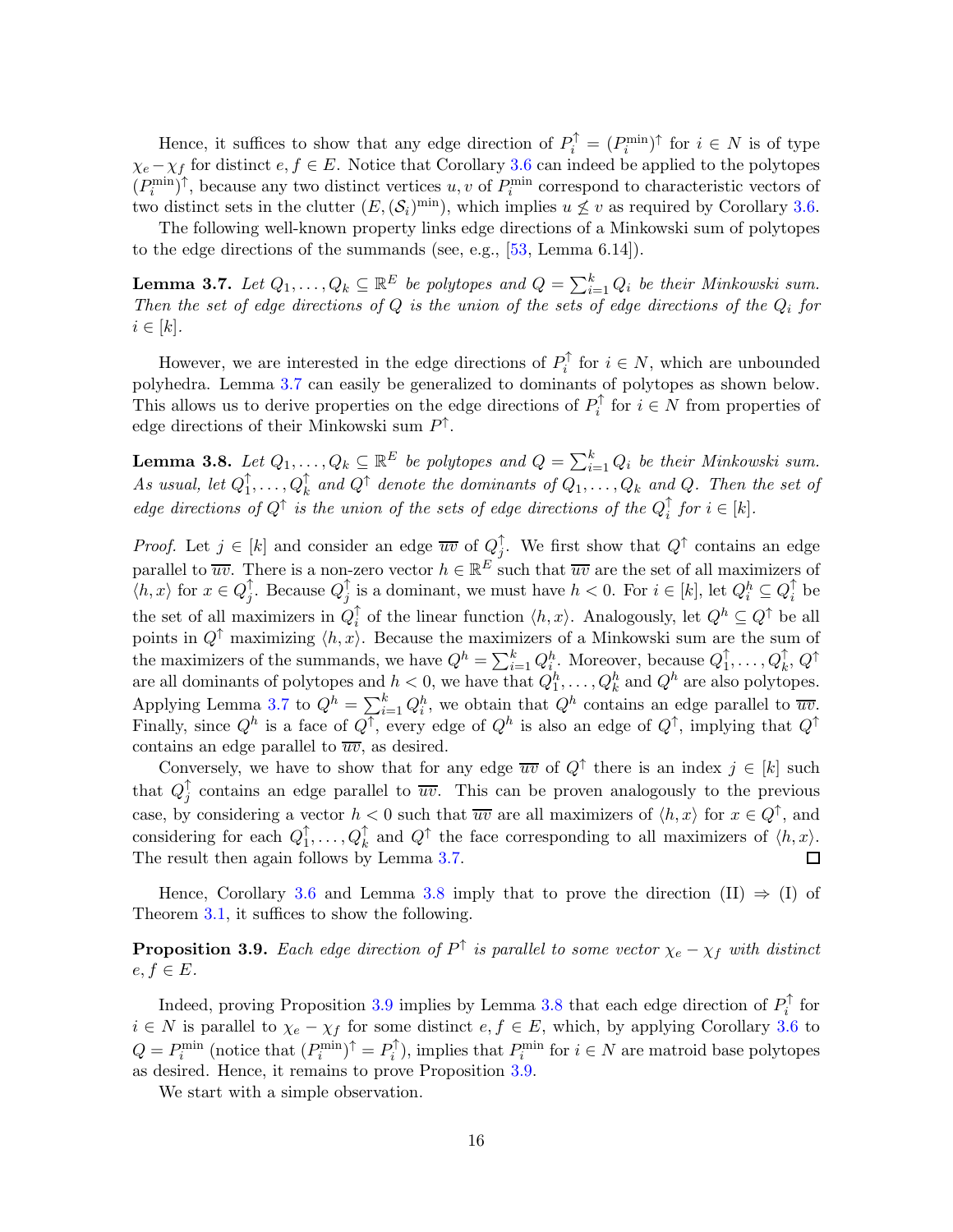Hence, it suffices to show that any edge direction of  $P_i^{\uparrow} = (P_i^{\min})^{\uparrow}$  for  $i \in N$  is of type  $\chi_e - \chi_f$  for distinct  $e, f \in E$ . Notice that Corollary [3.6](#page-15-1) can indeed be applied to the polytopes  $(P_i^{\min})^{\uparrow}$ , because any two distinct vertices  $u, v$  of  $P_i^{\min}$  correspond to characteristic vectors of two distinct sets in the clutter  $(E, (\mathcal{S}_i)^{\text{min}})$ , which implies  $u \not\leq v$  as required by Corollary [3.6.](#page-15-1)

The following well-known property links edge directions of a Minkowski sum of polytopes to the edge directions of the summands (see, e.g., [\[53,](#page-25-15) Lemma 6.14]).

<span id="page-16-0"></span>**Lemma 3.7.** Let  $Q_1, \ldots, Q_k \subseteq \mathbb{R}^E$  be polytopes and  $Q = \sum_{i=1}^k Q_i$  be their Minkowski sum. Then the set of edge directions of  $Q$  is the union of the sets of edge directions of the  $Q_i$  for  $i \in [k]$ .

However, we are interested in the edge directions of  $P_i^{\uparrow}$  $i_i^{\dagger}$  for  $i \in N$ , which are unbounded polyhedra. Lemma [3.7](#page-16-0) can easily be generalized to dominants of polytopes as shown below. This allows us to derive properties on the edge directions of  $P_i^{\uparrow}$  $i_i$  for  $i \in N$  from properties of edge directions of their Minkowski sum  $P^{\uparrow}$ .

<span id="page-16-1"></span>**Lemma 3.8.** Let  $Q_1, \ldots, Q_k \subseteq \mathbb{R}^E$  be polytopes and  $Q = \sum_{i=1}^k Q_i$  be their Minkowski sum. As usual, let  $Q_1^{\uparrow}$  $\hat{Q}_1^{\uparrow}, \ldots, Q_k^{\uparrow}$  and  $Q^{\uparrow}$  denote the dominants of  $Q_1, \ldots, Q_k$  and  $Q$ . Then the set of edge directions of  $Q^{\uparrow}$  is the union of the sets of edge directions of the  $Q_i^{\uparrow}$  $i \text{ for } i \in [k].$ 

*Proof.* Let  $j \in [k]$  and consider an edge  $\overline{uv}$  of  $Q_i^{\uparrow}$ . We first show that  $Q^{\uparrow}$  contains an edge j parallel to  $\overline{uv}$ . There is a non-zero vector  $h \in \mathbb{R}^E$  such that  $\overline{uv}$  are the set of all maximizers of  $\langle h, x \rangle$  for  $x \in Q_i^{\uparrow}$  $j$ . Because  $Q_j^{\uparrow}$  $\hat{j}$  is a dominant, we must have  $h < 0$ . For  $i \in [k]$ , let  $Q_i^h \subseteq Q_i^{\uparrow}$  $\frac{1}{i}$  be the set of all maximizers in  $Q_i^{\uparrow}$  $\int_i$  of the linear function  $\langle h, x \rangle$ . Analogously, let  $Q^h \subseteq Q^{\uparrow}$  be all points in  $Q^{\uparrow}$  maximizing  $\langle h, x \rangle$ . Because the maximizers of a Minkowski sum are the sum of the maximizers of the summands, we have  $Q^h = \sum_{i=1}^k Q_i^h$ . Moreover, because  $Q_1^{\uparrow}$  $_1^\uparrow,\ldots,Q_k^\uparrow,Q^\uparrow$ are all dominants of polytopes and  $h < 0$ , we have that  $Q_1^h, \ldots, Q_k^h$  and  $Q^h$  are also polytopes. Applying Lemma [3.7](#page-16-0) to  $Q^h = \sum_{i=1}^k Q_i^h$ , we obtain that  $Q^h$  contains an edge parallel to  $\overline{uv}$ . Finally, since  $Q^h$  is a face of  $Q^{\dagger}$ , every edge of  $Q^h$  is also an edge of  $Q^{\dagger}$ , implying that  $Q^{\dagger}$ contains an edge parallel to  $\overline{uv}$ , as desired.

Conversely, we have to show that for any edge  $\overline{uv}$  of  $Q^{\uparrow}$  there is an index  $j \in [k]$  such that  $Q_i^{\uparrow}$  $j$  contains an edge parallel to  $\overline{uv}$ . This can be proven analogously to the previous case, by considering a vector  $h < 0$  such that  $\overline{uv}$  are all maximizers of  $\langle h, x \rangle$  for  $x \in Q^{\uparrow}$ , and considering for each  $Q_1^{\uparrow}$  $\uparrow_1^{\uparrow}, \ldots, Q_k^{\uparrow}$  and  $Q^{\uparrow}$  the face corresponding to all maximizers of  $\langle h, x \rangle$ . The result then again follows by Lemma [3.7.](#page-16-0)  $\Box$ 

Hence, Corollary [3.6](#page-15-1) and Lemma [3.8](#page-16-1) imply that to prove the direction (II)  $\Rightarrow$  (I) of Theorem [3.1,](#page-10-0) it suffices to show the following.

<span id="page-16-2"></span>**Proposition 3.9.** Each edge direction of  $P^{\uparrow}$  is parallel to some vector  $\chi_e - \chi_f$  with distinct  $e, f \in E$ .

Indeed, proving Proposition [3.9](#page-16-2) implies by Lemma [3.8](#page-16-1) that each edge direction of  $P_i^{\uparrow}$  $_i^{\dagger}$  for  $i \in N$  is parallel to  $\chi_e - \chi_f$  for some distinct  $e, f \in E$ , which, by applying Corollary [3.6](#page-15-1) to  $Q = P_i^{\min}$  (notice that  $(P_i^{\min})^{\uparrow} = P_i^{\uparrow}$  $P_i^{\uparrow}$ , implies that  $P_i^{\text{min}}$  for  $i \in N$  are matroid base polytopes as desired. Hence, it remains to prove Proposition [3.9.](#page-16-2)

We start with a simple observation.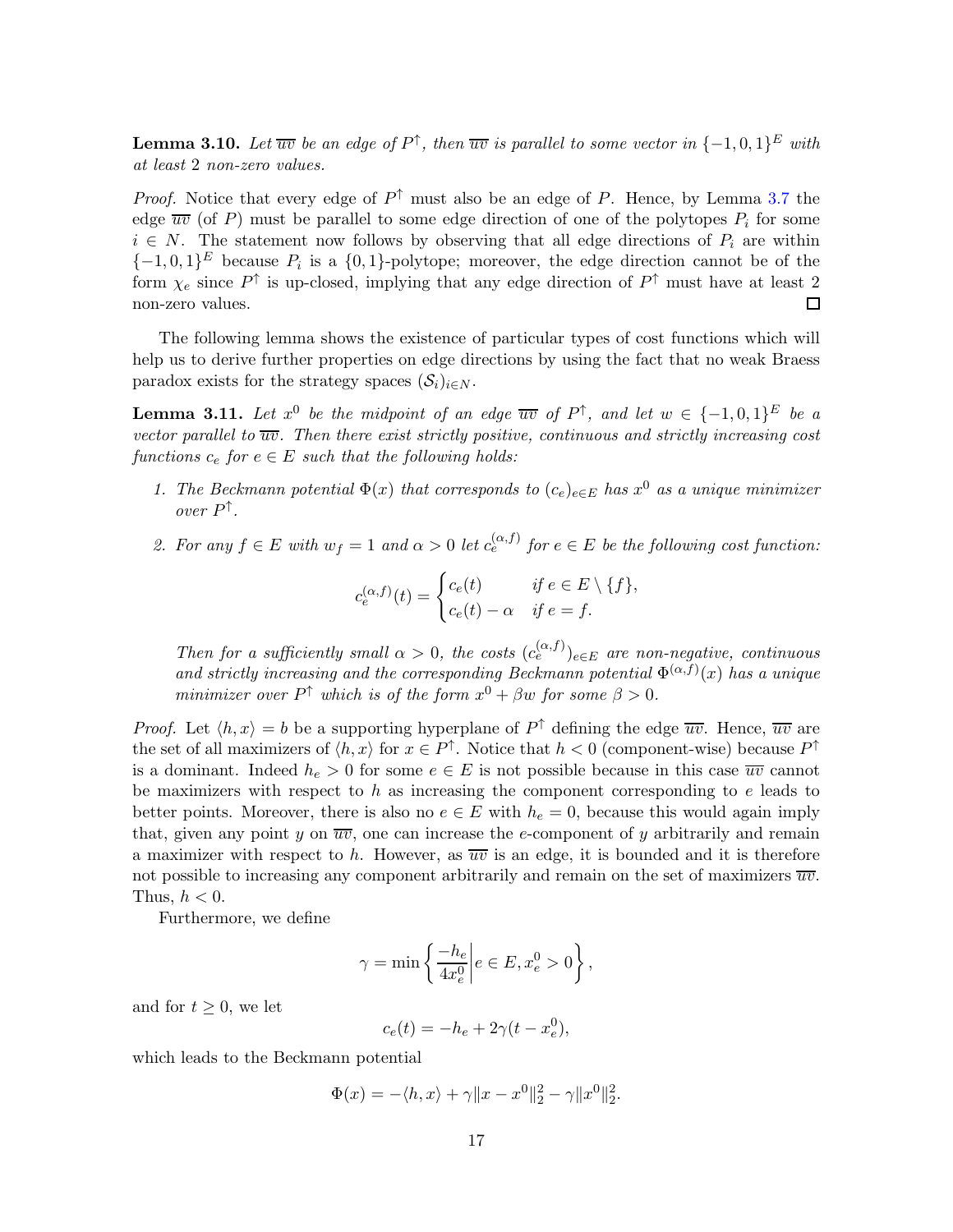<span id="page-17-2"></span>**Lemma 3.10.** Let  $\overline{uv}$  be an edge of  $P^{\uparrow}$ , then  $\overline{uv}$  is parallel to some vector in  $\{-1,0,1\}^E$  with at least 2 non-zero values.

*Proof.* Notice that every edge of  $P^{\uparrow}$  must also be an edge of P. Hence, by Lemma [3.7](#page-16-0) the edge  $\overline{uv}$  (of P) must be parallel to some edge direction of one of the polytopes  $P_i$  for some  $i \in N$ . The statement now follows by observing that all edge directions of  $P_i$  are within  $\{-1,0,1\}^E$  because  $P_i$  is a  $\{0,1\}$ -polytope; moreover, the edge direction cannot be of the form  $\chi_e$  since  $P^{\uparrow}$  is up-closed, implying that any edge direction of  $P^{\uparrow}$  must have at least 2 non-zero values. 口

The following lemma shows the existence of particular types of cost functions which will help us to derive further properties on edge directions by using the fact that no weak Braess paradox exists for the strategy spaces  $(\mathcal{S}_i)_{i\in N}$ .

<span id="page-17-3"></span>**Lemma 3.11.** Let  $x^0$  be the midpoint of an edge  $\overline{uv}$  of  $P^{\uparrow}$ , and let  $w \in \{-1,0,1\}^E$  be a vector parallel to  $\overline{uv}$ . Then there exist strictly positive, continuous and strictly increasing cost functions  $c_e$  for  $e \in E$  such that the following holds:

- <span id="page-17-1"></span><span id="page-17-0"></span>1. The Beckmann potential  $\Phi(x)$  that corresponds to  $(c_e)_{e \in E}$  has  $x^0$  as a unique minimizer over P ↑ .
- 2. For any  $f \in E$  with  $w_f = 1$  and  $\alpha > 0$  let  $c_e^{(\alpha, f)}$  for  $e \in E$  be the following cost function:

$$
c_e^{(\alpha,f)}(t) = \begin{cases} c_e(t) & \text{if } e \in E \setminus \{f\}, \\ c_e(t) - \alpha & \text{if } e = f. \end{cases}
$$

Then for a sufficiently small  $\alpha > 0$ , the costs  $(c_e^{(\alpha, f)})_{e \in E}$  are non-negative, continuous and strictly increasing and the corresponding Beckmann potential  $\Phi^{(\alpha,f)}(x)$  has a unique minimizer over  $P^{\uparrow}$  which is of the form  $x^{0} + \beta w$  for some  $\beta > 0$ .

*Proof.* Let  $\langle h, x \rangle = b$  be a supporting hyperplane of  $P^{\uparrow}$  defining the edge  $\overline{uv}$ . Hence,  $\overline{uv}$  are the set of all maximizers of  $\langle h, x \rangle$  for  $x \in P^{\uparrow}$ . Notice that  $h < 0$  (component-wise) because  $P^{\uparrow}$ is a dominant. Indeed  $h_e > 0$  for some  $e \in E$  is not possible because in this case  $\overline{uv}$  cannot be maximizers with respect to  $h$  as increasing the component corresponding to  $e$  leads to better points. Moreover, there is also no  $e \in E$  with  $h_e = 0$ , because this would again imply that, given any point y on  $\overline{uv}$ , one can increase the e-component of y arbitrarily and remain a maximizer with respect to h. However, as  $\overline{uv}$  is an edge, it is bounded and it is therefore not possible to increasing any component arbitrarily and remain on the set of maximizers  $\overline{uv}$ . Thus,  $h < 0$ .

Furthermore, we define

$$
\gamma = \min \left\{ \frac{-h_e}{4x_e^0} \middle| e \in E, x_e^0 > 0 \right\},\,
$$

and for  $t \geq 0$ , we let

$$
c_e(t) = -h_e + 2\gamma(t - x_e^0),
$$

which leads to the Beckmann potential

$$
\Phi(x) = -\langle h, x \rangle + \gamma \|x - x^0\|_2^2 - \gamma \|x^0\|_2^2.
$$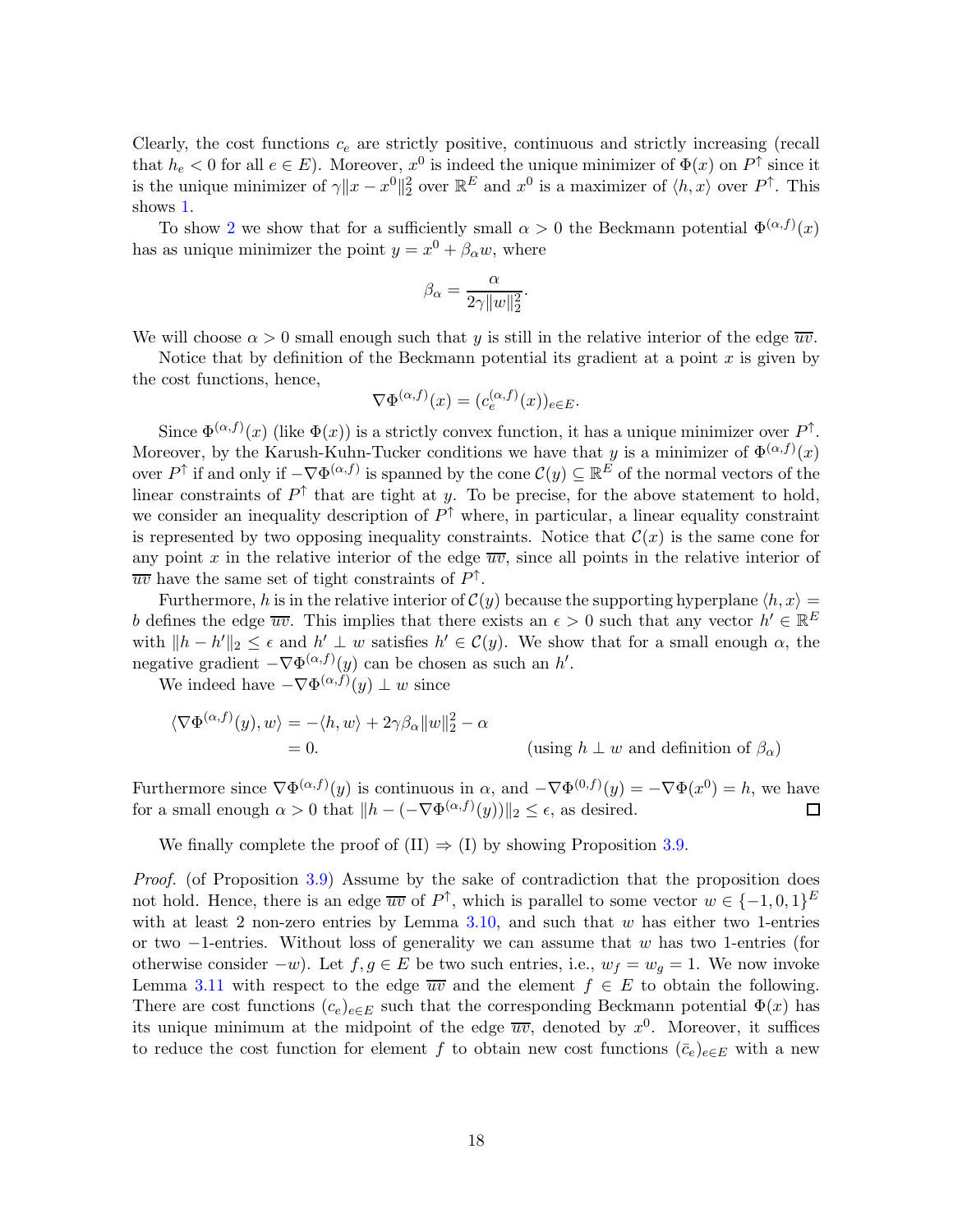Clearly, the cost functions  $c_e$  are strictly positive, continuous and strictly increasing (recall that  $h_e < 0$  for all  $e \in E$ ). Moreover,  $x^0$  is indeed the unique minimizer of  $\Phi(x)$  on  $P^{\uparrow}$  since it is the unique minimizer of  $\gamma \|x - x^0\|_2^2$  over  $\mathbb{R}^E$  and  $x^0$  is a maximizer of  $\langle h, x \rangle$  over  $P^{\uparrow}$ . This shows [1.](#page-17-0)

To show [2](#page-17-1) we show that for a sufficiently small  $\alpha > 0$  the Beckmann potential  $\Phi^{(\alpha,f)}(x)$ has as unique minimizer the point  $y = x^0 + \beta_\alpha w$ , where

$$
\beta_{\alpha} = \frac{\alpha}{2\gamma \|w\|_2^2}.
$$

We will choose  $\alpha > 0$  small enough such that y is still in the relative interior of the edge  $\overline{uv}$ .

Notice that by definition of the Beckmann potential its gradient at a point  $x$  is given by the cost functions, hence,

$$
\nabla \Phi^{(\alpha,f)}(x) = (c_e^{(\alpha,f)}(x))_{e \in E}.
$$

Since  $\Phi^{(\alpha,f)}(x)$  (like  $\Phi(x)$ ) is a strictly convex function, it has a unique minimizer over  $P^{\uparrow}$ . Moreover, by the Karush-Kuhn-Tucker conditions we have that y is a minimizer of  $\Phi^{(\alpha,f)}(x)$ over  $P^{\uparrow}$  if and only if  $-\nabla \Phi^{(\alpha,f)}$  is spanned by the cone  $\mathcal{C}(y) \subseteq \mathbb{R}^E$  of the normal vectors of the linear constraints of  $P^{\uparrow}$  that are tight at y. To be precise, for the above statement to hold, we consider an inequality description of  $P^{\uparrow}$  where, in particular, a linear equality constraint is represented by two opposing inequality constraints. Notice that  $\mathcal{C}(x)$  is the same cone for any point x in the relative interior of the edge  $\overline{uv}$ , since all points in the relative interior of  $\overline{uv}$  have the same set of tight constraints of  $P^{\uparrow}$ .

Furthermore, h is in the relative interior of  $\mathcal{C}(y)$  because the supporting hyperplane  $\langle h, x \rangle =$ b defines the edge  $\overline{uv}$ . This implies that there exists an  $\epsilon > 0$  such that any vector  $h' \in \mathbb{R}^E$ with  $||h - h'||_2 \leq \epsilon$  and  $h' \perp w$  satisfies  $h' \in C(y)$ . We show that for a small enough  $\alpha$ , the negative gradient  $-\nabla \Phi^{(\alpha,f)}(y)$  can be chosen as such an h'.

We indeed have  $-\nabla \Phi^{(\alpha,f)}(y) \perp w$  since

$$
\langle \nabla \Phi^{(\alpha,f)}(y), w \rangle = -\langle h, w \rangle + 2\gamma \beta_\alpha \|w\|_2^2 - \alpha
$$
  
= 0. (using  $h \perp w$  and definition of  $\beta_\alpha$ )

Furthermore since  $\nabla \Phi^{(\alpha,f)}(y)$  is continuous in  $\alpha$ , and  $-\nabla \Phi^{(0,f)}(y) = -\nabla \Phi(x^0) = h$ , we have for a small enough  $\alpha > 0$  that  $||h - (-\nabla \Phi^{(\alpha, f)}(y))||_2 \leq \epsilon$ , as desired. П

We finally complete the proof of  $(II) \Rightarrow (I)$  by showing Proposition [3.9.](#page-16-2)

Proof. (of Proposition [3.9\)](#page-16-2) Assume by the sake of contradiction that the proposition does not hold. Hence, there is an edge  $\overline{uv}$  of  $P^{\uparrow}$ , which is parallel to some vector  $w \in \{-1,0,1\}^E$ with at least 2 non-zero entries by Lemma [3.10,](#page-17-2) and such that  $w$  has either two 1-entries or two  $-1$ -entries. Without loss of generality we can assume that w has two 1-entries (for otherwise consider  $-w$ ). Let  $f, g ∈ E$  be two such entries, i.e.,  $w_f = w_g = 1$ . We now invoke Lemma [3.11](#page-17-3) with respect to the edge  $\overline{uv}$  and the element  $f \in E$  to obtain the following. There are cost functions  $(c_e)_{e \in E}$  such that the corresponding Beckmann potential  $\Phi(x)$  has its unique minimum at the midpoint of the edge  $\overline{uv}$ , denoted by  $x^0$ . Moreover, it suffices to reduce the cost function for element f to obtain new cost functions  $(\bar{c}_e)_{e \in E}$  with a new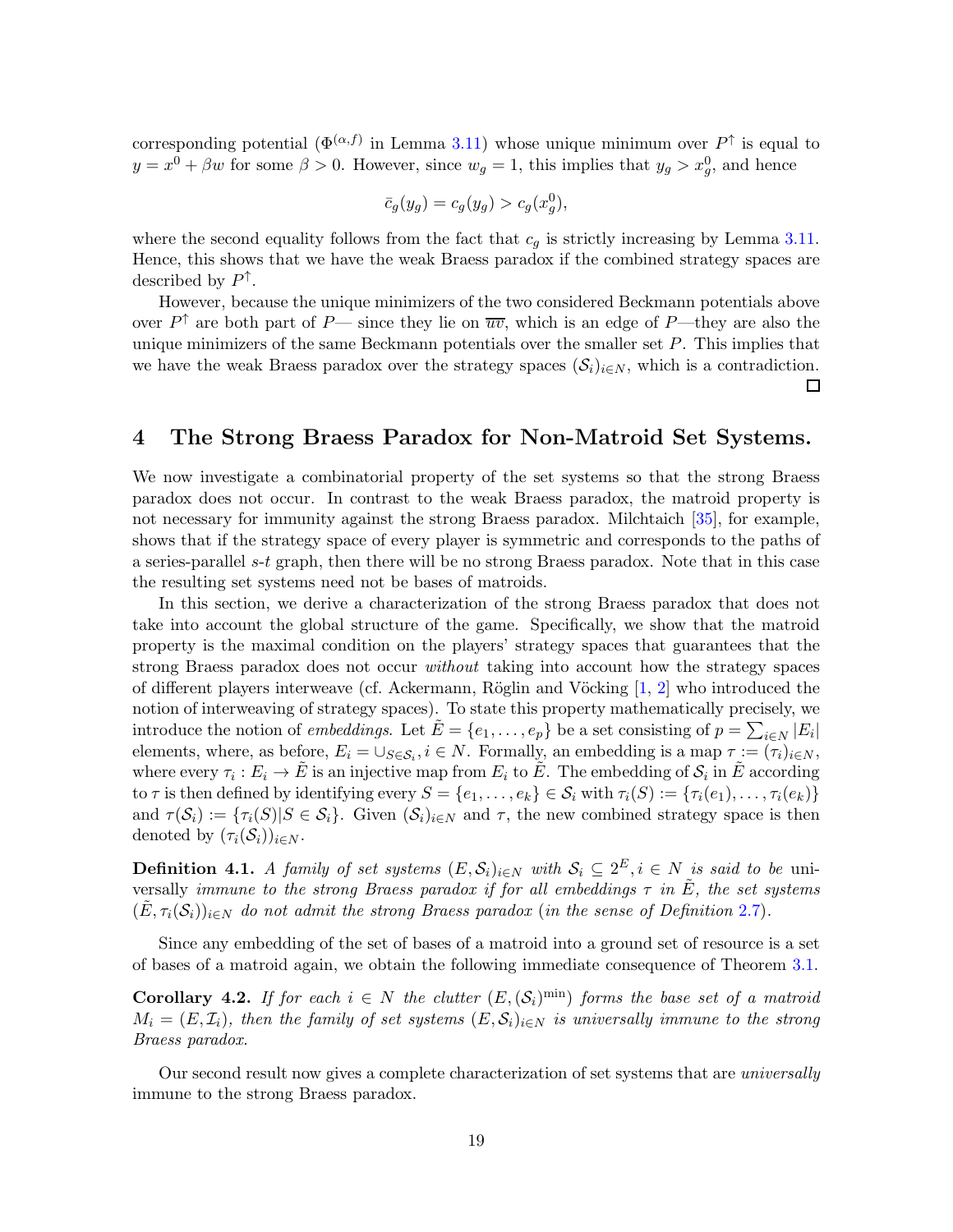corresponding potential  $(\Phi^{(\alpha,f)}$  in Lemma [3.11\)](#page-17-3) whose unique minimum over  $P^{\uparrow}$  is equal to  $y = x^0 + \beta w$  for some  $\beta > 0$ . However, since  $w_g = 1$ , this implies that  $y_g > x_g^0$ , and hence

$$
\bar{c}_g(y_g) = c_g(y_g) > c_g(x_g^0),
$$

where the second equality follows from the fact that  $c_q$  is strictly increasing by Lemma [3.11.](#page-17-3) Hence, this shows that we have the weak Braess paradox if the combined strategy spaces are described by  $P^{\uparrow}$ .

However, because the unique minimizers of the two considered Beckmann potentials above over  $P^{\uparrow}$  are both part of P— since they lie on  $\overline{uv}$ , which is an edge of P—they are also the unique minimizers of the same Beckmann potentials over the smaller set  $P$ . This implies that we have the weak Braess paradox over the strategy spaces  $(\mathcal{S}_i)_{i\in\mathbb{N}}$ , which is a contradiction. 囗

# <span id="page-19-0"></span>4 The Strong Braess Paradox for Non-Matroid Set Systems.

We now investigate a combinatorial property of the set systems so that the strong Braess paradox does not occur. In contrast to the weak Braess paradox, the matroid property is not necessary for immunity against the strong Braess paradox. Milchtaich [\[35\]](#page-24-9), for example, shows that if the strategy space of every player is symmetric and corresponds to the paths of a series-parallel s-t graph, then there will be no strong Braess paradox. Note that in this case the resulting set systems need not be bases of matroids.

In this section, we derive a characterization of the strong Braess paradox that does not take into account the global structure of the game. Specifically, we show that the matroid property is the maximal condition on the players' strategy spaces that guarantees that the strong Braess paradox does not occur without taking into account how the strategy spaces of different players interweave (cf. Ackermann, Röglin and Vöcking  $[1, 2]$  $[1, 2]$  who introduced the notion of interweaving of strategy spaces). To state this property mathematically precisely, we introduce the notion of *embeddings*. Let  $\tilde{E} = \{e_1, \ldots, e_p\}$  be a set consisting of  $p = \sum_{i \in N} |E_i|$ elements, where, as before,  $E_i = \cup_{S \in \mathcal{S}_i}$ ,  $i \in N$ . Formally, an embedding is a map  $\tau := (\tau_i)_{i \in N}$ , where every  $\tau_i: E_i \to \tilde{E}$  is an injective map from  $E_i$  to  $\tilde{E}$ . The embedding of  $\mathcal{S}_i$  in  $\tilde{E}$  according to  $\tau$  is then defined by identifying every  $S = \{e_1, \ldots, e_k\} \in \mathcal{S}_i$  with  $\tau_i(S) := \{\tau_i(e_1), \ldots, \tau_i(e_k)\}$ and  $\tau(\mathcal{S}_i) := {\tau_i(S)|S \in \mathcal{S}_i}$ . Given  $(\mathcal{S}_i)_{i \in \mathbb{N}}$  and  $\tau$ , the new combined strategy space is then denoted by  $(\tau_i(\mathcal{S}_i))_{i\in N}$ .

<span id="page-19-1"></span>**Definition 4.1.** A family of set systems  $(E, \mathcal{S}_i)_{i \in N}$  with  $\mathcal{S}_i \subseteq 2^E, i \in N$  is said to be universally immune to the strong Braess paradox if for all embeddings  $\tau$  in  $\tilde{E}$ , the set systems  $(\tilde{E}, \tau_i(\mathcal{S}_i))_{i \in \mathbb{N}}$  do not admit the strong Braess paradox (in the sense of Definition [2.7\)](#page-9-2).

Since any embedding of the set of bases of a matroid into a ground set of resource is a set of bases of a matroid again, we obtain the following immediate consequence of Theorem [3.1.](#page-10-0)

<span id="page-19-2"></span>**Corollary 4.2.** If for each  $i \in N$  the clutter  $(E, (\mathcal{S}_i)^{\text{min}})$  forms the base set of a matroid  $M_i = (E, \mathcal{I}_i)$ , then the family of set systems  $(E, \mathcal{S}_i)_{i \in \mathbb{N}}$  is universally immune to the strong Braess paradox.

Our second result now gives a complete characterization of set systems that are universally immune to the strong Braess paradox.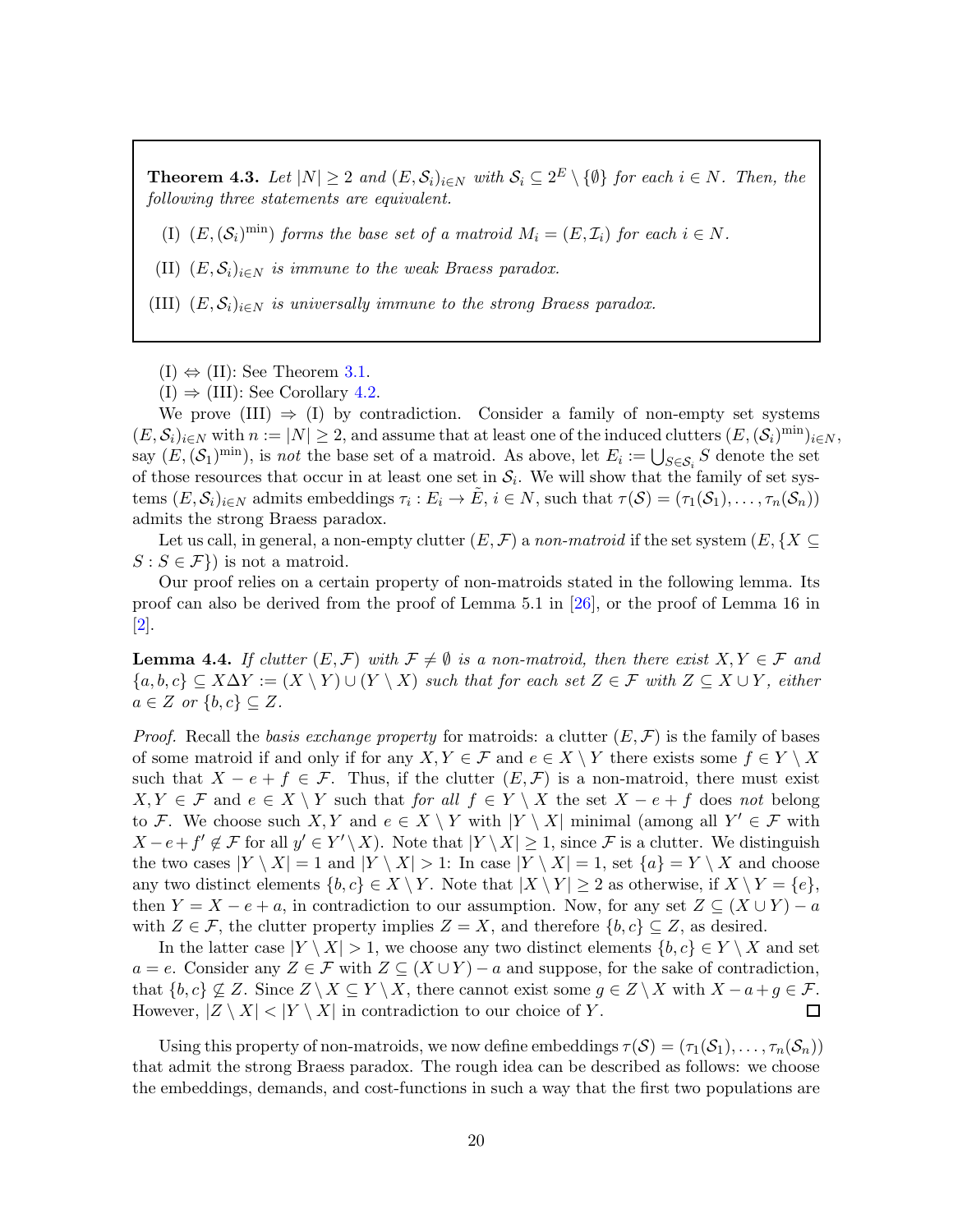<span id="page-20-1"></span>**Theorem 4.3.** Let  $|N| \geq 2$  and  $(E, \mathcal{S}_i)_{i \in N}$  with  $\mathcal{S}_i \subseteq 2^E \setminus \{\emptyset\}$  for each  $i \in N$ . Then, the following three statements are equivalent.

(I)  $(E, (\mathcal{S}_i)^{\text{min}})$  forms the base set of a matroid  $M_i = (E, \mathcal{I}_i)$  for each  $i \in N$ .

(II)  $(E, \mathcal{S}_i)_{i \in N}$  is immune to the weak Braess paradox.

(III)  $(E, \mathcal{S}_i)_{i \in N}$  is universally immune to the strong Braess paradox.

 $(I) \Leftrightarrow (II)$ : See Theorem [3.1.](#page-10-0)

 $(I) \Rightarrow (III)$ : See Corollary [4.2.](#page-19-2)

We prove  $(III) \Rightarrow (I)$  by contradiction. Consider a family of non-empty set systems  $(E, \mathcal{S}_i)_{i \in \mathbb{N}}$  with  $n := |N| \geq 2$ , and assume that at least one of the induced clutters  $(E, (\mathcal{S}_i)^{\min})_{i \in \mathbb{N}}$ , say  $(E,(\mathcal{S}_1)^{\min})$ , is *not* the base set of a matroid. As above, let  $E_i := \bigcup_{S \in \mathcal{S}_i} S$  denote the set of those resources that occur in at least one set in  $\mathcal{S}_i$ . We will show that the family of set systems  $(E, \mathcal{S}_i)_{i \in \mathbb{N}}$  admits embeddings  $\tau_i : E_i \to \tilde{E}, i \in \mathbb{N}$ , such that  $\tau(\mathcal{S}) = (\tau_1(\mathcal{S}_1), \dots, \tau_n(\mathcal{S}_n))$ admits the strong Braess paradox.

Let us call, in general, a non-empty clutter  $(E, \mathcal{F})$  a non-matroid if the set system  $(E, \{X \subseteq$  $S : S \in \mathcal{F}$ ) is not a matroid.

Our proof relies on a certain property of non-matroids stated in the following lemma. Its proof can also be derived from the proof of Lemma 5.1 in [\[26\]](#page-24-13), or the proof of Lemma 16 in [\[2\]](#page-22-2).

<span id="page-20-0"></span>**Lemma 4.4.** If clutter  $(E, \mathcal{F})$  with  $\mathcal{F} \neq \emptyset$  is a non-matroid, then there exist  $X, Y \in \mathcal{F}$  and  ${a, b, c} \subseteq X\Delta Y := (X \setminus Y) \cup (Y \setminus X)$  such that for each set  $Z \in \mathcal{F}$  with  $Z \subseteq X \cup Y$ , either  $a \in Z$  or  $\{b, c\} \subseteq Z$ .

*Proof.* Recall the basis exchange property for matroids: a clutter  $(E, \mathcal{F})$  is the family of bases of some matroid if and only if for any  $X, Y \in \mathcal{F}$  and  $e \in X \setminus Y$  there exists some  $f \in Y \setminus X$ such that  $X - e + f \in \mathcal{F}$ . Thus, if the clutter  $(E, \mathcal{F})$  is a non-matroid, there must exist  $X, Y \in \mathcal{F}$  and  $e \in X \setminus Y$  such that for all  $f \in Y \setminus X$  the set  $X - e + f$  does not belong to F. We choose such X, Y and  $e \in X \setminus Y$  with  $|Y \setminus X|$  minimal (among all  $Y' \in \mathcal{F}$  with  $X-e+f' \notin \mathcal{F}$  for all  $y' \in Y' \setminus X$ ). Note that  $|Y \setminus X| \geq 1$ , since  $\mathcal{F}$  is a clutter. We distinguish the two cases  $|Y \setminus X| = 1$  and  $|Y \setminus X| > 1$ : In case  $|Y \setminus X| = 1$ , set  $\{a\} = Y \setminus X$  and choose any two distinct elements  $\{b, c\} \in X \setminus Y$ . Note that  $|X \setminus Y| \geq 2$  as otherwise, if  $X \setminus Y = \{e\}$ , then  $Y = X - e + a$ , in contradiction to our assumption. Now, for any set  $Z \subseteq (X \cup Y) - a$ with  $Z \in \mathcal{F}$ , the clutter property implies  $Z = X$ , and therefore  $\{b, c\} \subseteq Z$ , as desired.

In the latter case  $|Y \setminus X| > 1$ , we choose any two distinct elements  $\{b, c\} \in Y \setminus X$  and set  $a = e$ . Consider any  $Z \in \mathcal{F}$  with  $Z \subseteq (X \cup Y) - a$  and suppose, for the sake of contradiction, that  $\{b, c\} \nsubseteq Z$ . Since  $Z \setminus X \subseteq Y \setminus X$ , there cannot exist some  $g \in Z \setminus X$  with  $X - a + g \in \mathcal{F}$ . However,  $|Z \setminus X| < |Y \setminus X|$  in contradiction to our choice of Y. 口

Using this property of non-matroids, we now define embeddings  $\tau(S) = (\tau_1(S_1), \ldots, \tau_n(S_n))$ that admit the strong Braess paradox. The rough idea can be described as follows: we choose the embeddings, demands, and cost-functions in such a way that the first two populations are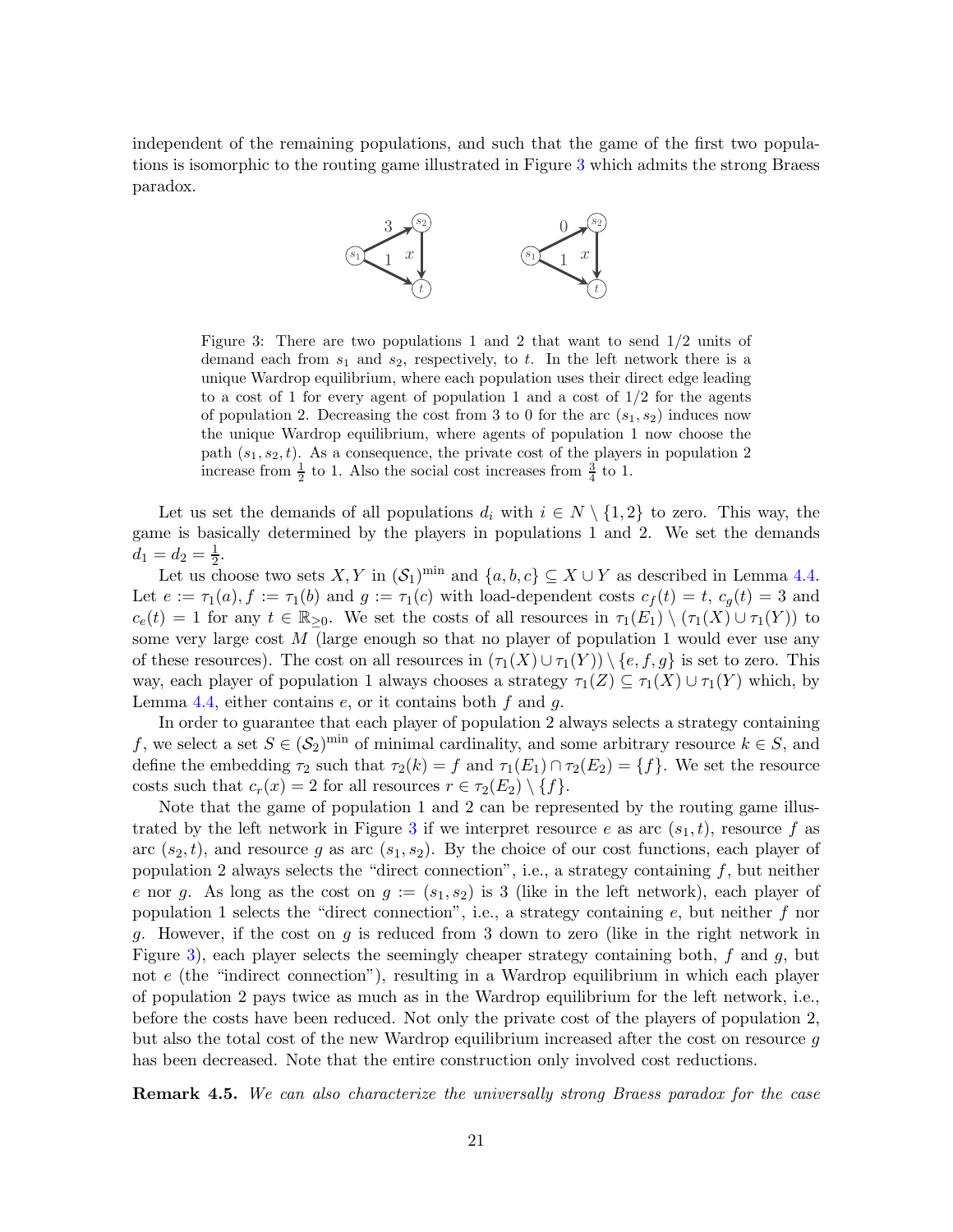<span id="page-21-0"></span>independent of the remaining populations, and such that the game of the first two populations is isomorphic to the routing game illustrated in Figure [3](#page-21-0) which admits the strong Braess paradox.



Figure 3: There are two populations 1 and 2 that want to send 1/2 units of demand each from  $s_1$  and  $s_2$ , respectively, to t. In the left network there is a unique Wardrop equilibrium, where each population uses their direct edge leading to a cost of 1 for every agent of population 1 and a cost of  $1/2$  for the agents of population 2. Decreasing the cost from 3 to 0 for the arc  $(s_1, s_2)$  induces now the unique Wardrop equilibrium, where agents of population 1 now choose the path  $(s_1, s_2, t)$ . As a consequence, the private cost of the players in population 2 increase from  $\frac{1}{2}$  to 1. Also the social cost increases from  $\frac{3}{4}$  to 1.

Let us set the demands of all populations  $d_i$  with  $i \in N \setminus \{1,2\}$  to zero. This way, the game is basically determined by the players in populations 1 and 2. We set the demands  $d_1 = d_2 = \frac{1}{2}$  $\frac{1}{2}$ .

Let us choose two sets X, Y in  $(S_1)^{\text{min}}$  and  $\{a, b, c\} \subseteq X \cup Y$  as described in Lemma [4.4.](#page-20-0) Let  $e := \tau_1(a), f := \tau_1(b)$  and  $g := \tau_1(c)$  with load-dependent costs  $c_f(t) = t$ ,  $c_g(t) = 3$  and  $c_e(t) = 1$  for any  $t \in \mathbb{R}_{\geq 0}$ . We set the costs of all resources in  $\tau_1(E_1) \setminus (\tau_1(X) \cup \tau_1(Y))$  to some very large cost  $M$  (large enough so that no player of population 1 would ever use any of these resources). The cost on all resources in  $(\tau_1(X) \cup \tau_1(Y)) \setminus \{e, f, g\}$  is set to zero. This way, each player of population 1 always chooses a strategy  $\tau_1(Z) \subseteq \tau_1(X) \cup \tau_1(Y)$  which, by Lemma [4.4,](#page-20-0) either contains  $e$ , or it contains both  $f$  and  $g$ .

In order to guarantee that each player of population 2 always selects a strategy containing f, we select a set  $S \in (\mathcal{S}_2)^{\text{min}}$  of minimal cardinality, and some arbitrary resource  $k \in S$ , and define the embedding  $\tau_2$  such that  $\tau_2(k) = f$  and  $\tau_1(E_1) \cap \tau_2(E_2) = \{f\}$ . We set the resource costs such that  $c_r(x) = 2$  for all resources  $r \in \tau_2(E_2) \setminus \{f\}.$ 

Note that the game of population 1 and 2 can be represented by the routing game illus-trated by the left network in Figure [3](#page-21-0) if we interpret resource e as arc  $(s_1, t)$ , resource f as arc  $(s_2, t)$ , and resource g as arc  $(s_1, s_2)$ . By the choice of our cost functions, each player of population 2 always selects the "direct connection", i.e., a strategy containing  $f$ , but neither e nor g. As long as the cost on  $g := (s_1, s_2)$  is 3 (like in the left network), each player of population 1 selects the "direct connection", i.e., a strategy containing  $e$ , but neither  $f$  nor g. However, if the cost on g is reduced from 3 down to zero (like in the right network in Figure [3\)](#page-21-0), each player selects the seemingly cheaper strategy containing both,  $f$  and  $g$ , but not  $e$  (the "indirect connection"), resulting in a Wardrop equilibrium in which each player of population 2 pays twice as much as in the Wardrop equilibrium for the left network, i.e., before the costs have been reduced. Not only the private cost of the players of population 2, but also the total cost of the new Wardrop equilibrium increased after the cost on resource g has been decreased. Note that the entire construction only involved cost reductions.

**Remark 4.5.** We can also characterize the universally strong Braess paradox for the case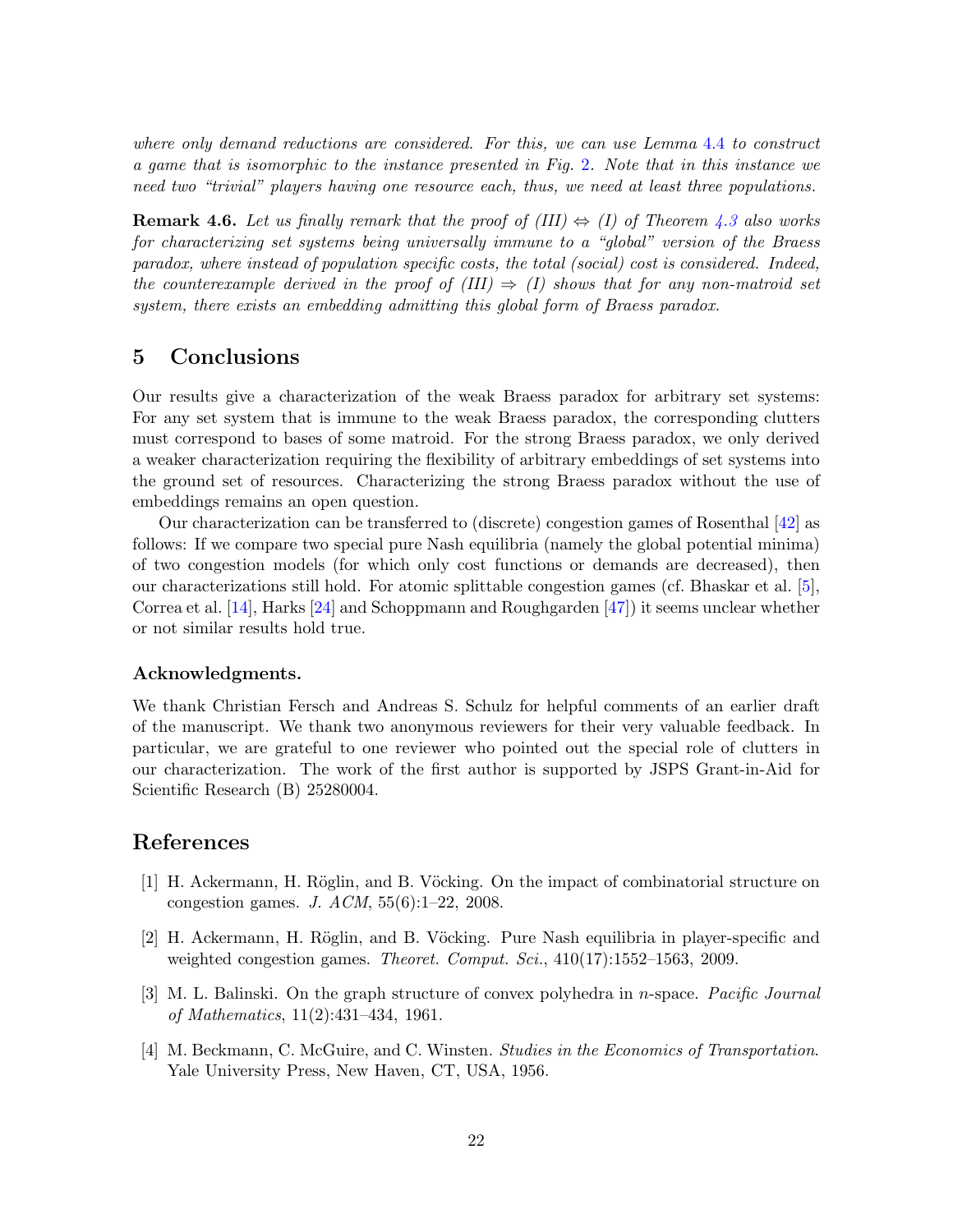where only demand reductions are considered. For this, we can use Lemma [4.4](#page-20-0) to construct a game that is isomorphic to the instance presented in Fig. [2](#page-3-0). Note that in this instance we need two "trivial" players having one resource each, thus, we need at least three populations.

**Remark 4.6.** Let us finally remark that the proof of (III)  $\Leftrightarrow$  (I) of Theorem [4.3](#page-20-1) also works for characterizing set systems being universally immune to a "global" version of the Braess paradox, where instead of population specific costs, the total (social) cost is considered. Indeed, the counterexample derived in the proof of  $(III) \Rightarrow (I)$  shows that for any non-matroid set system, there exists an embedding admitting this global form of Braess paradox.

# 5 Conclusions

Our results give a characterization of the weak Braess paradox for arbitrary set systems: For any set system that is immune to the weak Braess paradox, the corresponding clutters must correspond to bases of some matroid. For the strong Braess paradox, we only derived a weaker characterization requiring the flexibility of arbitrary embeddings of set systems into the ground set of resources. Characterizing the strong Braess paradox without the use of embeddings remains an open question.

Our characterization can be transferred to (discrete) congestion games of Rosenthal [\[42\]](#page-25-0) as follows: If we compare two special pure Nash equilibria (namely the global potential minima) of two congestion models (for which only cost functions or demands are decreased), then our characterizations still hold. For atomic splittable congestion games (cf. Bhaskar et al. [\[5\]](#page-23-15), Correa et al. [\[14\]](#page-23-16), Harks [\[24\]](#page-24-17) and Schoppmann and Roughgarden [\[47\]](#page-25-16)) it seems unclear whether or not similar results hold true.

#### Acknowledgments.

We thank Christian Fersch and Andreas S. Schulz for helpful comments of an earlier draft of the manuscript. We thank two anonymous reviewers for their very valuable feedback. In particular, we are grateful to one reviewer who pointed out the special role of clutters in our characterization. The work of the first author is supported by JSPS Grant-in-Aid for Scientific Research (B) 25280004.

# <span id="page-22-1"></span>References

- [1] H. Ackermann, H. Röglin, and B. Vöcking. On the impact of combinatorial structure on congestion games. J.  $ACM$ ,  $55(6):1-22$ , 2008.
- <span id="page-22-2"></span>[2] H. Ackermann, H. Röglin, and B. Vöcking. Pure Nash equilibria in player-specific and weighted congestion games. Theoret. Comput. Sci.,  $410(17):1552-1563$ , 2009.
- <span id="page-22-3"></span>[3] M. L. Balinski. On the graph structure of convex polyhedra in n-space. Pacific Journal of Mathematics, 11(2):431–434, 1961.
- <span id="page-22-0"></span>[4] M. Beckmann, C. McGuire, and C. Winsten. Studies in the Economics of Transportation. Yale University Press, New Haven, CT, USA, 1956.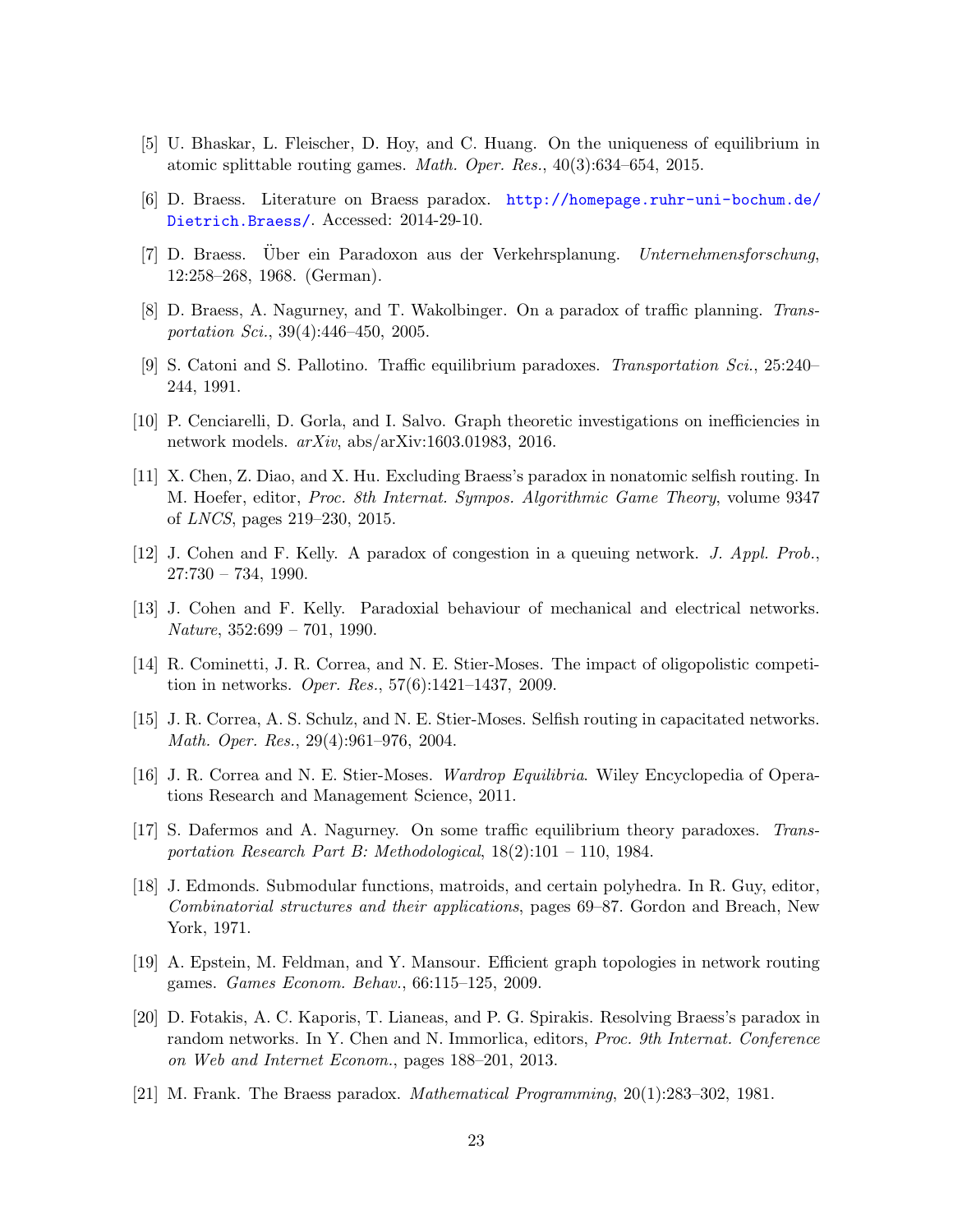- <span id="page-23-15"></span><span id="page-23-10"></span>[5] U. Bhaskar, L. Fleischer, D. Hoy, and C. Huang. On the uniqueness of equilibrium in atomic splittable routing games. Math. Oper. Res., 40(3):634–654, 2015.
- <span id="page-23-1"></span>[6] D. Braess. Literature on Braess paradox. [http://homepage.ruhr-uni-bochum.de/](http://homepage.ruhr-uni-bochum.de/Dietrich.Braess/) [Dietrich.Braess/](http://homepage.ruhr-uni-bochum.de/Dietrich.Braess/). Accessed: 2014-29-10.
- <span id="page-23-2"></span>[7] D. Braess. Über ein Paradoxon aus der Verkehrsplanung. Unternehmensforschung, 12:258–268, 1968. (German).
- <span id="page-23-3"></span>[8] D. Braess, A. Nagurney, and T. Wakolbinger. On a paradox of traffic planning. Transportation Sci., 39(4):446–450, 2005.
- <span id="page-23-12"></span>[9] S. Catoni and S. Pallotino. Traffic equilibrium paradoxes. Transportation Sci., 25:240– 244, 1991.
- <span id="page-23-11"></span>[10] P. Cenciarelli, D. Gorla, and I. Salvo. Graph theoretic investigations on inefficiencies in network models.  $arXiv$ , abs/arXiv:1603.01983, 2016.
- [11] X. Chen, Z. Diao, and X. Hu. Excluding Braess's paradox in nonatomic selfish routing. In M. Hoefer, editor, Proc. 8th Internat. Sympos. Algorithmic Game Theory, volume 9347 of LNCS, pages 219–230, 2015.
- <span id="page-23-7"></span><span id="page-23-6"></span>[12] J. Cohen and F. Kelly. A paradox of congestion in a queuing network. J. Appl. Prob.,  $27:730 - 734, 1990.$
- <span id="page-23-16"></span>[13] J. Cohen and F. Kelly. Paradoxial behaviour of mechanical and electrical networks.  $Nature, 352:699 - 701, 1990.$
- [14] R. Cominetti, J. R. Correa, and N. E. Stier-Moses. The impact of oligopolistic competition in networks. Oper. Res., 57(6):1421–1437, 2009.
- <span id="page-23-8"></span>[15] J. R. Correa, A. S. Schulz, and N. E. Stier-Moses. Selfish routing in capacitated networks. Math. Oper. Res., 29(4):961–976, 2004.
- <span id="page-23-0"></span>[16] J. R. Correa and N. E. Stier-Moses. Wardrop Equilibria. Wiley Encyclopedia of Operations Research and Management Science, 2011.
- <span id="page-23-4"></span>[17] S. Dafermos and A. Nagurney. On some traffic equilibrium theory paradoxes. Transportation Research Part B: Methodological, 18(2):101 – 110, 1984.
- <span id="page-23-14"></span>[18] J. Edmonds. Submodular functions, matroids, and certain polyhedra. In R. Guy, editor, Combinatorial structures and their applications, pages 69–87. Gordon and Breach, New York, 1971.
- <span id="page-23-13"></span>[19] A. Epstein, M. Feldman, and Y. Mansour. Efficient graph topologies in network routing games. Games Econom. Behav., 66:115–125, 2009.
- <span id="page-23-9"></span>[20] D. Fotakis, A. C. Kaporis, T. Lianeas, and P. G. Spirakis. Resolving Braess's paradox in random networks. In Y. Chen and N. Immorlica, editors, Proc. 9th Internat. Conference on Web and Internet Econom., pages 188–201, 2013.
- <span id="page-23-5"></span>[21] M. Frank. The Braess paradox. Mathematical Programming, 20(1):283–302, 1981.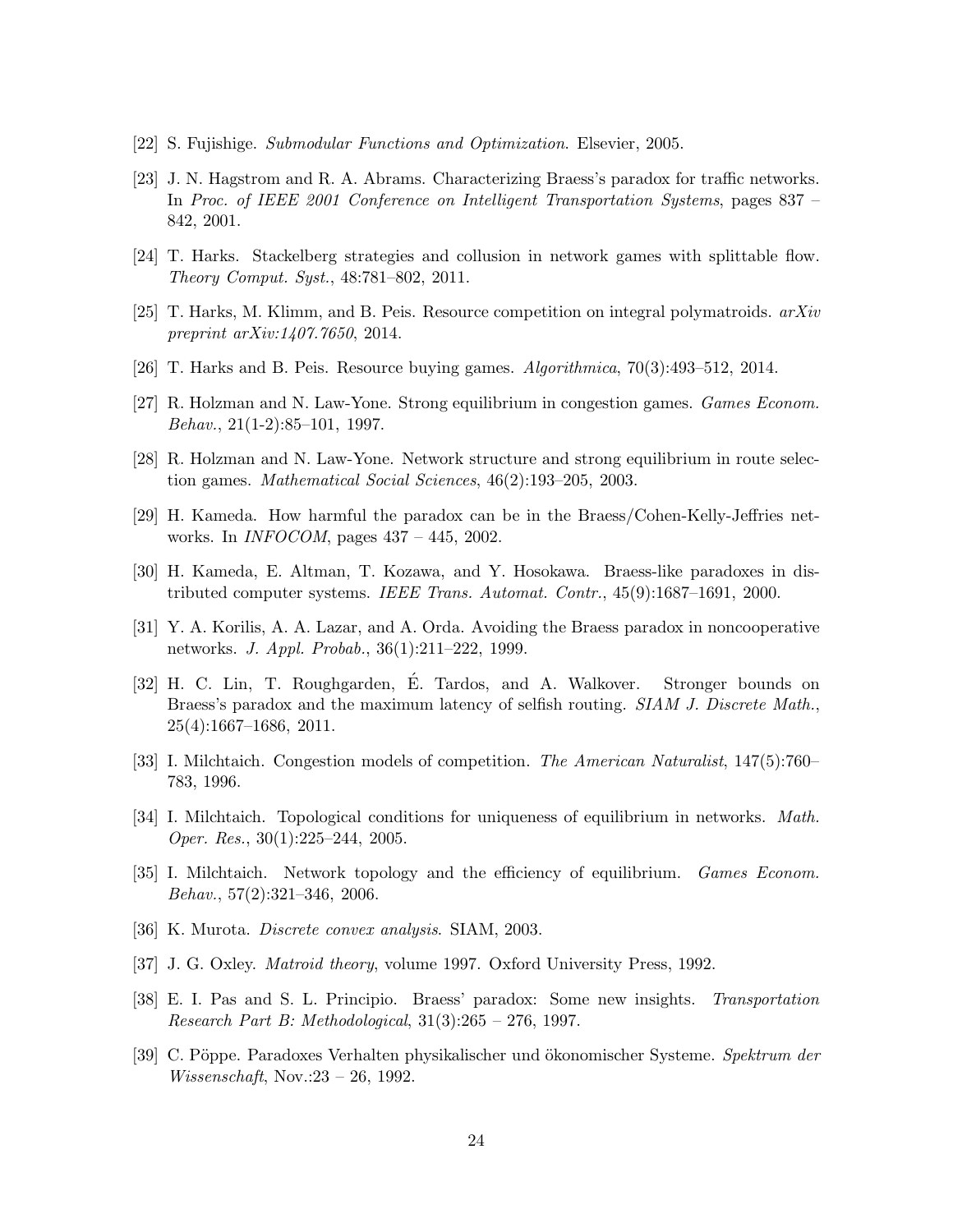- <span id="page-24-8"></span><span id="page-24-2"></span>[22] S. Fujishige. Submodular Functions and Optimization. Elsevier, 2005.
- [23] J. N. Hagstrom and R. A. Abrams. Characterizing Braess's paradox for traffic networks. In Proc. of IEEE 2001 Conference on Intelligent Transportation Systems, pages 837 – 842, 2001.
- <span id="page-24-17"></span><span id="page-24-14"></span>[24] T. Harks. Stackelberg strategies and collusion in network games with splittable flow. Theory Comput. Syst., 48:781–802, 2011.
- <span id="page-24-13"></span>[25] T. Harks, M. Klimm, and B. Peis. Resource competition on integral polymatroids.  $arXiv$ preprint arXiv:1407.7650, 2014.
- <span id="page-24-11"></span>[26] T. Harks and B. Peis. Resource buying games. Algorithmica, 70(3):493–512, 2014.
- <span id="page-24-12"></span>[27] R. Holzman and N. Law-Yone. Strong equilibrium in congestion games. Games Econom. Behav., 21(1-2):85–101, 1997.
- <span id="page-24-3"></span>[28] R. Holzman and N. Law-Yone. Network structure and strong equilibrium in route selection games. Mathematical Social Sciences, 46(2):193–205, 2003.
- <span id="page-24-4"></span>[29] H. Kameda. How harmful the paradox can be in the Braess/Cohen-Kelly-Jeffries networks. In INFOCOM, pages 437 – 445, 2002.
- <span id="page-24-1"></span>[30] H. Kameda, E. Altman, T. Kozawa, and Y. Hosokawa. Braess-like paradoxes in distributed computer systems. IEEE Trans. Automat. Contr., 45(9):1687–1691, 2000.
- [31] Y. A. Korilis, A. A. Lazar, and A. Orda. Avoiding the Braess paradox in noncooperative networks. J. Appl. Probab., 36(1):211–222, 1999.
- <span id="page-24-5"></span>[32] H. C. Lin, T. Roughgarden, E. Tardos, and A. Walkover. Stronger bounds on ´ Braess's paradox and the maximum latency of selfish routing. *SIAM J. Discrete Math.*, 25(4):1667–1686, 2011.
- <span id="page-24-10"></span><span id="page-24-0"></span>[33] I. Milchtaich. Congestion models of competition. The American Naturalist, 147(5):760– 783, 1996.
- [34] I. Milchtaich. Topological conditions for uniqueness of equilibrium in networks. Math. Oper. Res., 30(1):225–244, 2005.
- <span id="page-24-9"></span>[35] I. Milchtaich. Network topology and the efficiency of equilibrium. Games Econom. Behav., 57(2):321–346, 2006.
- <span id="page-24-16"></span><span id="page-24-15"></span>[36] K. Murota. Discrete convex analysis. SIAM, 2003.
- <span id="page-24-7"></span>[37] J. G. Oxley. Matroid theory, volume 1997. Oxford University Press, 1992.
- [38] E. I. Pas and S. L. Principio. Braess' paradox: Some new insights. Transportation Research Part B: Methodological, 31(3):265 – 276, 1997.
- <span id="page-24-6"></span>[39] C. Pöppe. Paradoxes Verhalten physikalischer und ökonomischer Systeme. Spektrum der Wissenschaft, Nov.:23 – 26, 1992.